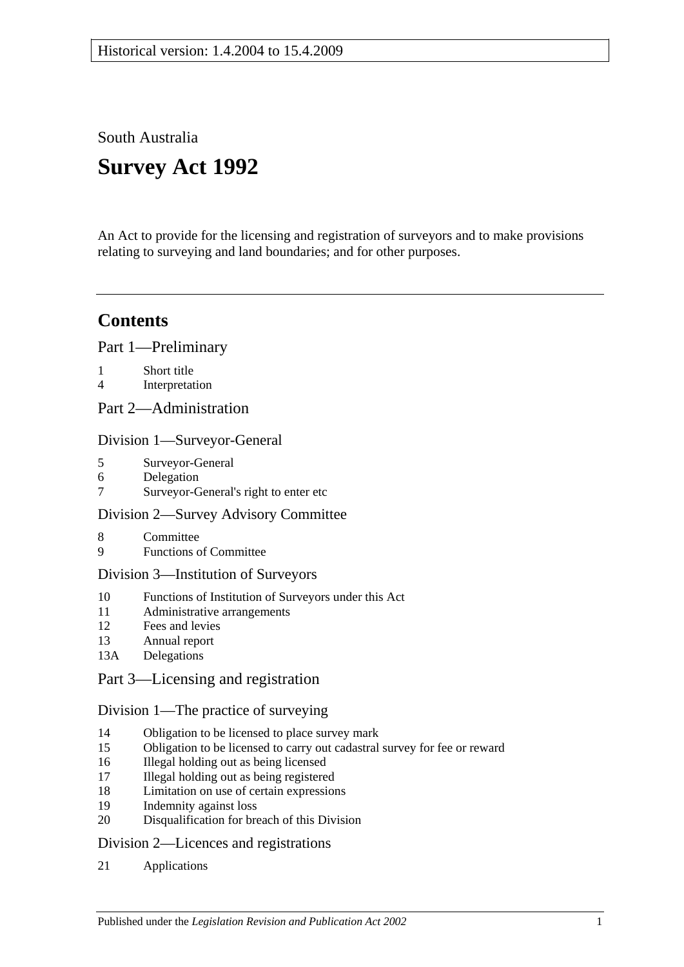South Australia

# **Survey Act 1992**

An Act to provide for the licensing and registration of surveyors and to make provisions relating to surveying and land boundaries; and for other purposes.

## **Contents**

[Part 1—Preliminary](#page-2-0)

- 1 [Short title](#page-2-1)
- 4 [Interpretation](#page-2-2)
- [Part 2—Administration](#page-5-0)

#### [Division 1—Surveyor-General](#page-5-1)

- 5 [Surveyor-General](#page-5-2)
- 6 [Delegation](#page-5-3)
- 7 [Surveyor-General's right to enter etc](#page-5-4)

#### [Division 2—Survey Advisory Committee](#page-5-5)

- 8 [Committee](#page-5-6)
- 9 [Functions of Committee](#page-6-0)

#### [Division 3—Institution of Surveyors](#page-6-1)

- 10 [Functions of Institution of Surveyors under this Act](#page-6-2)
- 11 [Administrative arrangements](#page-6-3)
- 12 [Fees and levies](#page-7-0)
- 13 [Annual report](#page-7-1)
- 13A [Delegations](#page-7-2)

## [Part 3—Licensing and registration](#page-8-0)

#### [Division 1—The practice of surveying](#page-8-1)

- 14 [Obligation to be licensed to place survey mark](#page-8-2)
- 15 [Obligation to be licensed to carry out cadastral survey for fee or reward](#page-8-3)
- 16 [Illegal holding out as being licensed](#page-8-4)
- 17 [Illegal holding out as being registered](#page-8-5)
- 18 [Limitation on use of certain expressions](#page-9-0)
- 19 [Indemnity against loss](#page-9-1)
- 20 [Disqualification for breach of this Division](#page-9-2)

#### [Division 2—Licences and registrations](#page-9-3)

21 [Applications](#page-9-4)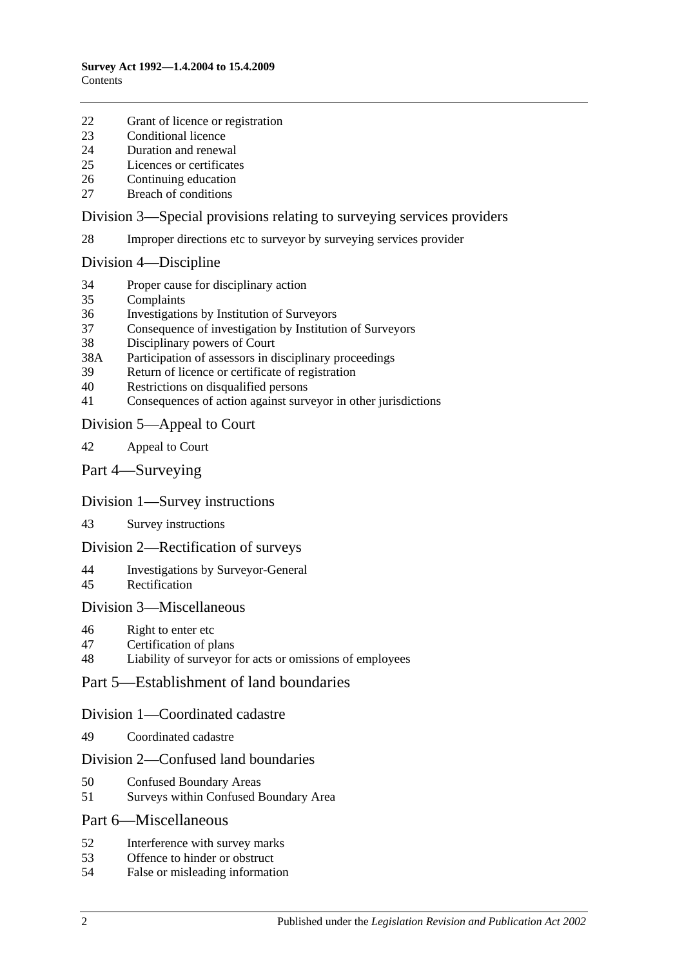- [Grant of licence or registration](#page-10-0)
- [Conditional licence](#page-10-1)
- [Duration and renewal](#page-11-0)
- [Licences or certificates](#page-11-1)
- [Continuing education](#page-11-2)
- [Breach of conditions](#page-11-3)

#### [Division 3—Special provisions relating to surveying services providers](#page-12-0)

[Improper directions etc to surveyor by surveying services provider](#page-12-1)

#### [Division 4—Discipline](#page-12-2)

- [Proper cause for disciplinary action](#page-12-3)
- [Complaints](#page-13-0)
- [Investigations by Institution of Surveyors](#page-13-1)
- [Consequence of investigation by Institution of Surveyors](#page-14-0)
- [Disciplinary powers of Court](#page-14-1)
- 38A [Participation of assessors in disciplinary proceedings](#page-15-0)
- [Return of licence or certificate of registration](#page-15-1)
- [Restrictions on disqualified persons](#page-15-2)
- [Consequences of action against surveyor in other jurisdictions](#page-16-0)

#### [Division 5—Appeal to Court](#page-16-1)

- [Appeal to Court](#page-16-2)
- [Part 4—Surveying](#page-17-0)

#### [Division 1—Survey instructions](#page-17-1)

[Survey instructions](#page-17-2)

#### [Division 2—Rectification of surveys](#page-18-0)

- [Investigations by Surveyor-General](#page-18-1)
- [Rectification](#page-19-0)

#### [Division 3—Miscellaneous](#page-19-1)

[Right to enter etc](#page-19-2)

#### [Certification of plans](#page-19-3)

[Liability of surveyor for acts or omissions of employees](#page-20-0)

#### [Part 5—Establishment of land boundaries](#page-20-1)

#### [Division 1—Coordinated cadastre](#page-20-2)

[Coordinated cadastre](#page-20-3)

#### [Division 2—Confused land boundaries](#page-21-0)

- [Confused Boundary Areas](#page-21-1)
- [Surveys within Confused Boundary Area](#page-21-2)

#### [Part 6—Miscellaneous](#page-23-0)

- [Interference with survey marks](#page-23-1)
- [Offence to hinder or obstruct](#page-23-2)
- [False or misleading information](#page-23-3)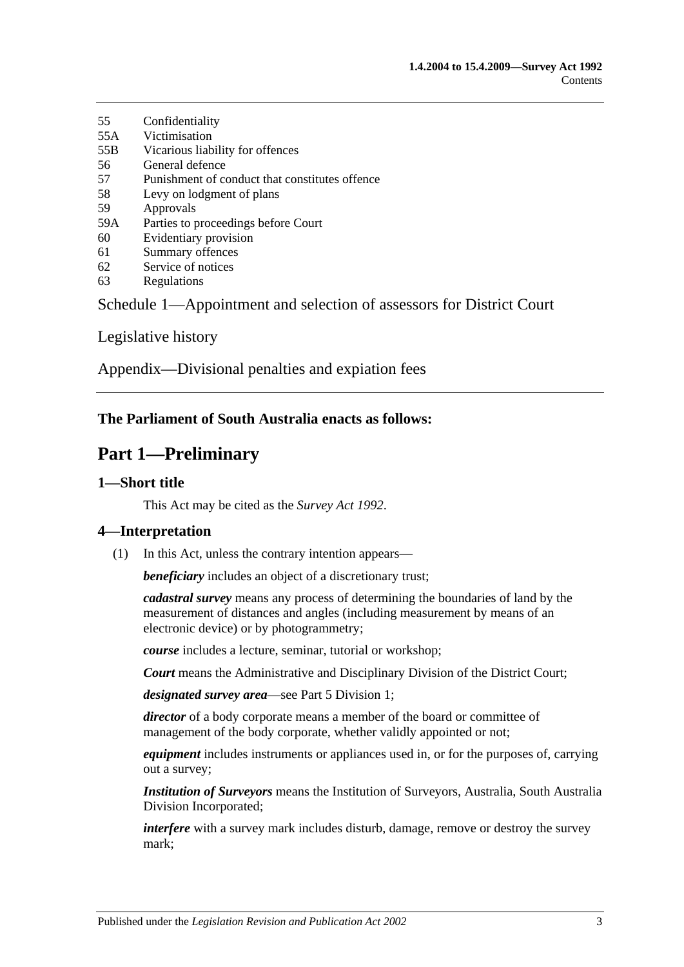- 55 [Confidentiality](#page-24-0) 55A [Victimisation](#page-24-1)
- 55B [Vicarious liability for offences](#page-25-0)
- 56 [General defence](#page-25-1)
- 57 [Punishment of conduct that constitutes offence](#page-25-2)
- 58 [Levy on lodgment of plans](#page-25-3)
- 59 [Approvals](#page-25-4)
- 59A [Parties to proceedings before Court](#page-25-5)
- 60 [Evidentiary provision](#page-25-6)
- 61 [Summary offences](#page-25-7)
- 62 [Service of notices](#page-26-0)
- 63 [Regulations](#page-26-1)

[Schedule 1—Appointment and selection of assessors for District Court](#page-27-0)

[Legislative history](#page-28-0)

[Appendix—Divisional penalties and expiation fees](#page-32-0)

## <span id="page-2-0"></span>**The Parliament of South Australia enacts as follows:**

## **Part 1—Preliminary**

## <span id="page-2-1"></span>**1—Short title**

This Act may be cited as the *Survey Act 1992*.

## <span id="page-2-2"></span>**4—Interpretation**

(1) In this Act, unless the contrary intention appears—

*beneficiary* includes an object of a discretionary trust;

*cadastral survey* means any process of determining the boundaries of land by the measurement of distances and angles (including measurement by means of an electronic device) or by photogrammetry;

*course* includes a lecture, seminar, tutorial or workshop;

*Court* means the Administrative and Disciplinary Division of the District Court;

*designated survey area*—see [Part 5 Division 1;](#page-20-2)

*director* of a body corporate means a member of the board or committee of management of the body corporate, whether validly appointed or not;

*equipment* includes instruments or appliances used in, or for the purposes of, carrying out a survey;

*Institution of Surveyors* means the Institution of Surveyors, Australia, South Australia Division Incorporated;

*interfere* with a survey mark includes disturb, damage, remove or destroy the survey mark;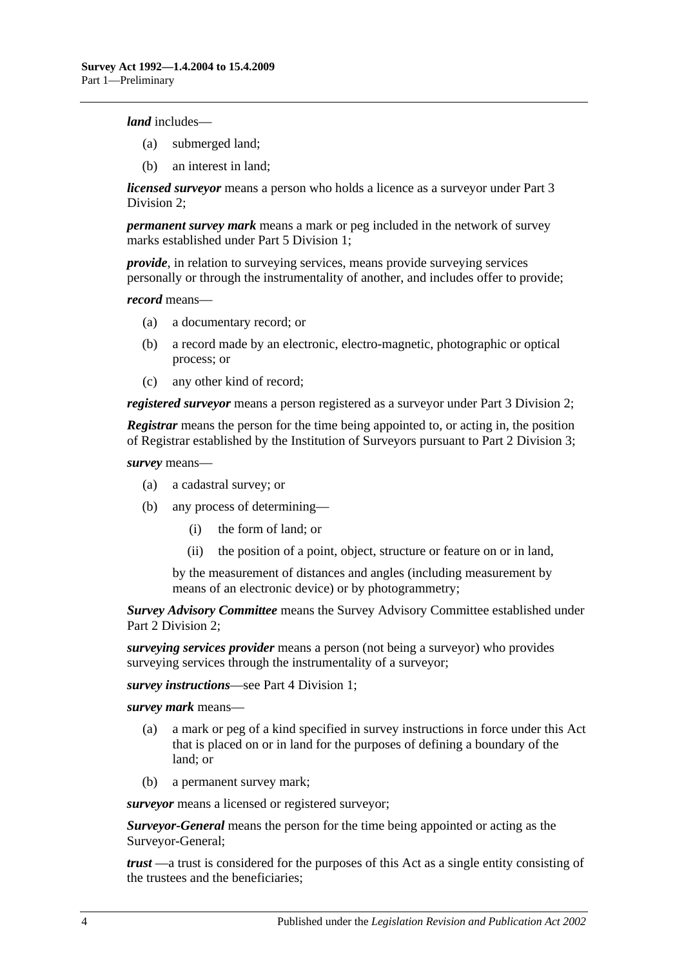*land* includes—

- (a) submerged land;
- (b) an interest in land;

*licensed surveyor* means a person who holds a licence as a surveyor under [Part 3](#page-9-3)  [Division 2;](#page-9-3)

*permanent survey mark* means a mark or peg included in the network of survey marks established under [Part 5 Division 1;](#page-20-2)

*provide*, in relation to surveying services, means provide surveying services personally or through the instrumentality of another, and includes offer to provide;

*record* means—

- (a) a documentary record; or
- (b) a record made by an electronic, electro-magnetic, photographic or optical process; or
- (c) any other kind of record;

*registered surveyor* means a person registered as a surveyor under [Part 3 Division 2;](#page-9-3)

*Registrar* means the person for the time being appointed to, or acting in, the position of Registrar established by the Institution of Surveyors pursuant to [Part 2 Division 3;](#page-6-1)

*survey* means—

- (a) a cadastral survey; or
- (b) any process of determining—
	- (i) the form of land; or
	- (ii) the position of a point, object, structure or feature on or in land,

by the measurement of distances and angles (including measurement by means of an electronic device) or by photogrammetry;

*Survey Advisory Committee* means the Survey Advisory Committee established under [Part 2 Division 2;](#page-5-5)

*surveying services provider* means a person (not being a surveyor) who provides surveying services through the instrumentality of a surveyor;

*survey instructions*—see [Part 4 Division 1;](#page-17-1)

*survey mark* means—

- (a) a mark or peg of a kind specified in survey instructions in force under this Act that is placed on or in land for the purposes of defining a boundary of the land; or
- (b) a permanent survey mark;

*surveyor* means a licensed or registered surveyor;

*Surveyor-General* means the person for the time being appointed or acting as the Surveyor-General;

*trust* —a trust is considered for the purposes of this Act as a single entity consisting of the trustees and the beneficiaries;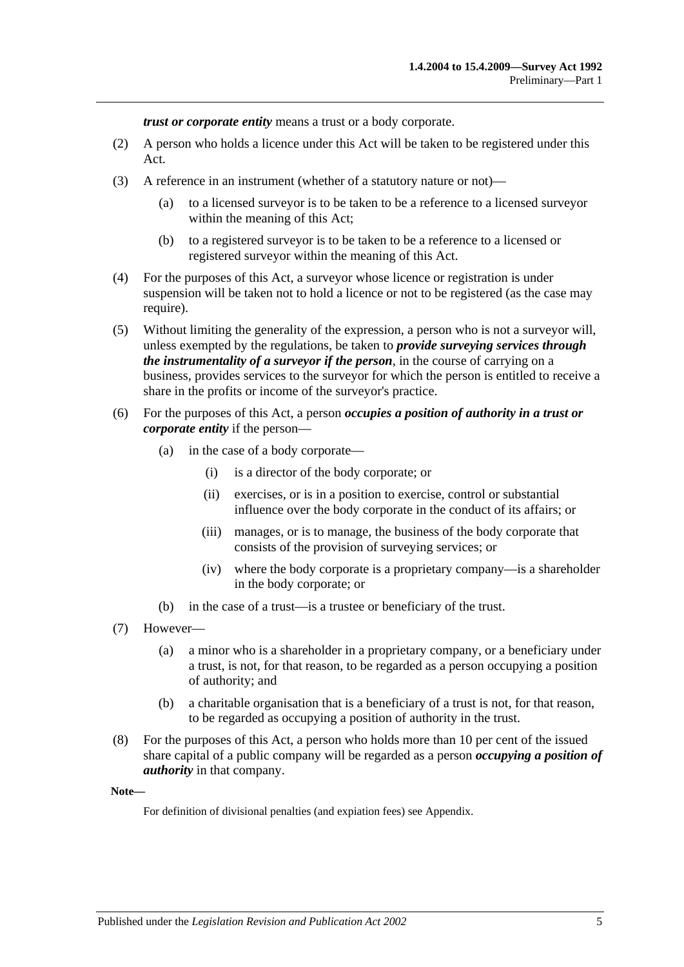*trust or corporate entity* means a trust or a body corporate.

- (2) A person who holds a licence under this Act will be taken to be registered under this Act.
- (3) A reference in an instrument (whether of a statutory nature or not)—
	- (a) to a licensed surveyor is to be taken to be a reference to a licensed surveyor within the meaning of this Act;
	- (b) to a registered surveyor is to be taken to be a reference to a licensed or registered surveyor within the meaning of this Act.
- (4) For the purposes of this Act, a surveyor whose licence or registration is under suspension will be taken not to hold a licence or not to be registered (as the case may require).
- (5) Without limiting the generality of the expression, a person who is not a surveyor will, unless exempted by the regulations, be taken to *provide surveying services through the instrumentality of a surveyor if the person*, in the course of carrying on a business, provides services to the surveyor for which the person is entitled to receive a share in the profits or income of the surveyor's practice.
- (6) For the purposes of this Act, a person *occupies a position of authority in a trust or corporate entity* if the person—
	- (a) in the case of a body corporate—
		- (i) is a director of the body corporate; or
		- (ii) exercises, or is in a position to exercise, control or substantial influence over the body corporate in the conduct of its affairs; or
		- (iii) manages, or is to manage, the business of the body corporate that consists of the provision of surveying services; or
		- (iv) where the body corporate is a proprietary company—is a shareholder in the body corporate; or
	- (b) in the case of a trust—is a trustee or beneficiary of the trust.
- (7) However—
	- (a) a minor who is a shareholder in a proprietary company, or a beneficiary under a trust, is not, for that reason, to be regarded as a person occupying a position of authority; and
	- (b) a charitable organisation that is a beneficiary of a trust is not, for that reason, to be regarded as occupying a position of authority in the trust.
- (8) For the purposes of this Act, a person who holds more than 10 per cent of the issued share capital of a public company will be regarded as a person *occupying a position of authority* in that company.

**Note—**

For definition of divisional penalties (and expiation fees) see Appendix.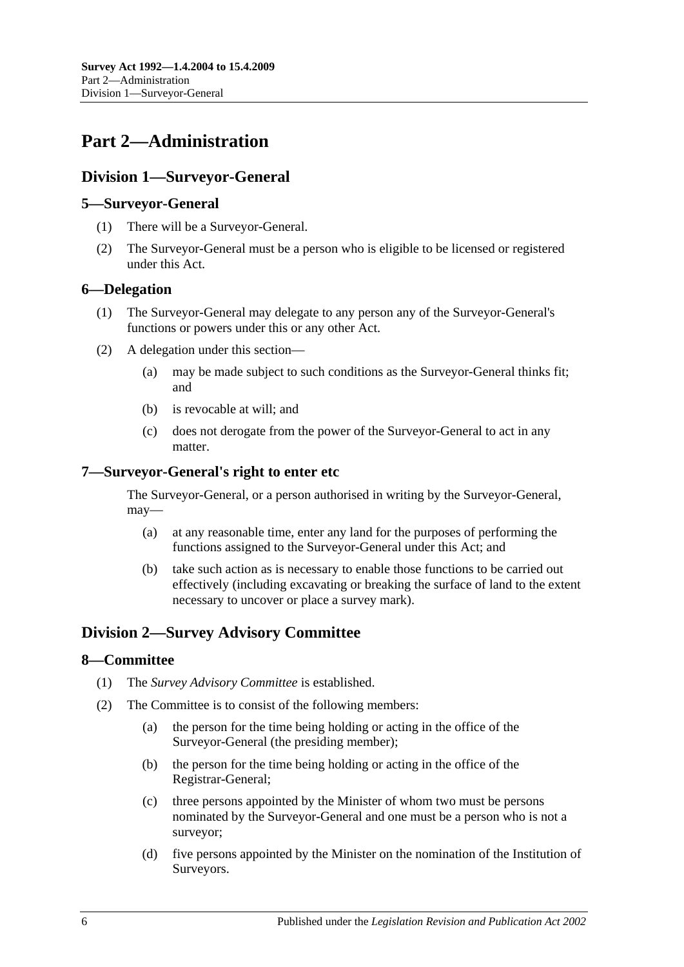## <span id="page-5-0"></span>**Part 2—Administration**

## <span id="page-5-1"></span>**Division 1—Surveyor-General**

### <span id="page-5-2"></span>**5—Surveyor-General**

- (1) There will be a Surveyor-General.
- (2) The Surveyor-General must be a person who is eligible to be licensed or registered under this Act.

### <span id="page-5-3"></span>**6—Delegation**

- (1) The Surveyor-General may delegate to any person any of the Surveyor-General's functions or powers under this or any other Act.
- (2) A delegation under this section—
	- (a) may be made subject to such conditions as the Surveyor-General thinks fit; and
	- (b) is revocable at will; and
	- (c) does not derogate from the power of the Surveyor-General to act in any matter.

### <span id="page-5-4"></span>**7—Surveyor-General's right to enter etc**

The Surveyor-General, or a person authorised in writing by the Surveyor-General, may—

- (a) at any reasonable time, enter any land for the purposes of performing the functions assigned to the Surveyor-General under this Act; and
- (b) take such action as is necessary to enable those functions to be carried out effectively (including excavating or breaking the surface of land to the extent necessary to uncover or place a survey mark).

## <span id="page-5-5"></span>**Division 2—Survey Advisory Committee**

#### <span id="page-5-6"></span>**8—Committee**

- (1) The *Survey Advisory Committee* is established.
- (2) The Committee is to consist of the following members:
	- (a) the person for the time being holding or acting in the office of the Surveyor-General (the presiding member);
	- (b) the person for the time being holding or acting in the office of the Registrar-General;
	- (c) three persons appointed by the Minister of whom two must be persons nominated by the Surveyor-General and one must be a person who is not a surveyor;
	- (d) five persons appointed by the Minister on the nomination of the Institution of Surveyors.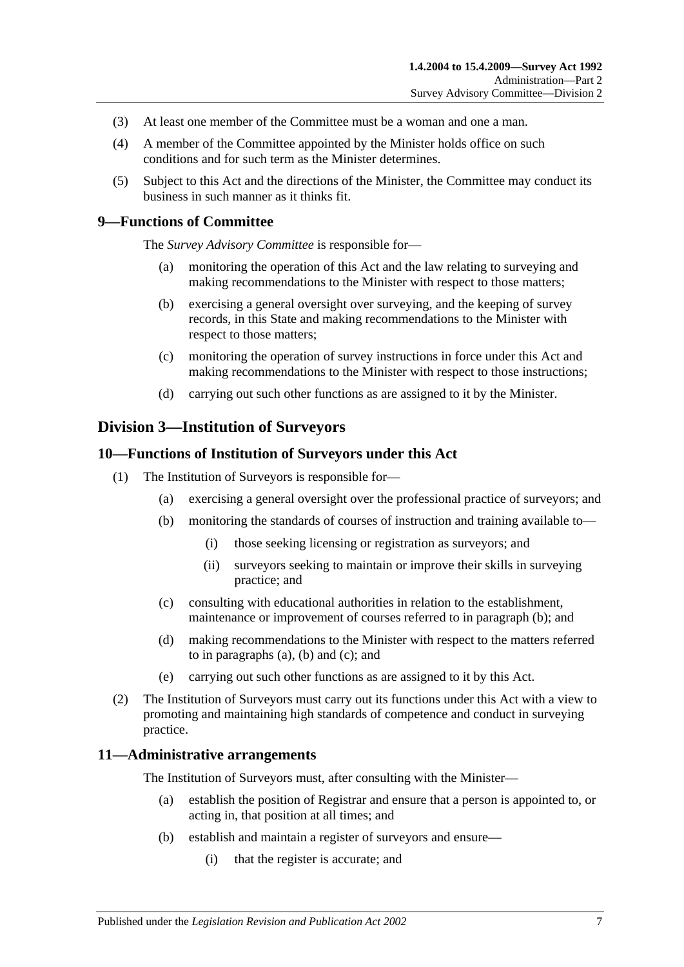- (3) At least one member of the Committee must be a woman and one a man.
- (4) A member of the Committee appointed by the Minister holds office on such conditions and for such term as the Minister determines.
- (5) Subject to this Act and the directions of the Minister, the Committee may conduct its business in such manner as it thinks fit.

#### <span id="page-6-0"></span>**9—Functions of Committee**

The *Survey Advisory Committee* is responsible for—

- (a) monitoring the operation of this Act and the law relating to surveying and making recommendations to the Minister with respect to those matters;
- (b) exercising a general oversight over surveying, and the keeping of survey records, in this State and making recommendations to the Minister with respect to those matters;
- (c) monitoring the operation of survey instructions in force under this Act and making recommendations to the Minister with respect to those instructions;
- (d) carrying out such other functions as are assigned to it by the Minister.

#### <span id="page-6-1"></span>**Division 3—Institution of Surveyors**

#### <span id="page-6-2"></span>**10—Functions of Institution of Surveyors under this Act**

- <span id="page-6-5"></span><span id="page-6-4"></span>(1) The Institution of Surveyors is responsible for—
	- (a) exercising a general oversight over the professional practice of surveyors; and
	- (b) monitoring the standards of courses of instruction and training available to—
		- (i) those seeking licensing or registration as surveyors; and
		- (ii) surveyors seeking to maintain or improve their skills in surveying practice; and
	- (c) consulting with educational authorities in relation to the establishment, maintenance or improvement of courses referred to in [paragraph](#page-6-4) (b); and
	- (d) making recommendations to the Minister with respect to the matters referred to in [paragraphs](#page-6-5) (a), [\(b\)](#page-6-4) and [\(c\);](#page-6-6) and
	- (e) carrying out such other functions as are assigned to it by this Act.
- <span id="page-6-6"></span>(2) The Institution of Surveyors must carry out its functions under this Act with a view to promoting and maintaining high standards of competence and conduct in surveying practice.

#### <span id="page-6-3"></span>**11—Administrative arrangements**

The Institution of Surveyors must, after consulting with the Minister—

- (a) establish the position of Registrar and ensure that a person is appointed to, or acting in, that position at all times; and
- (b) establish and maintain a register of surveyors and ensure—
	- (i) that the register is accurate; and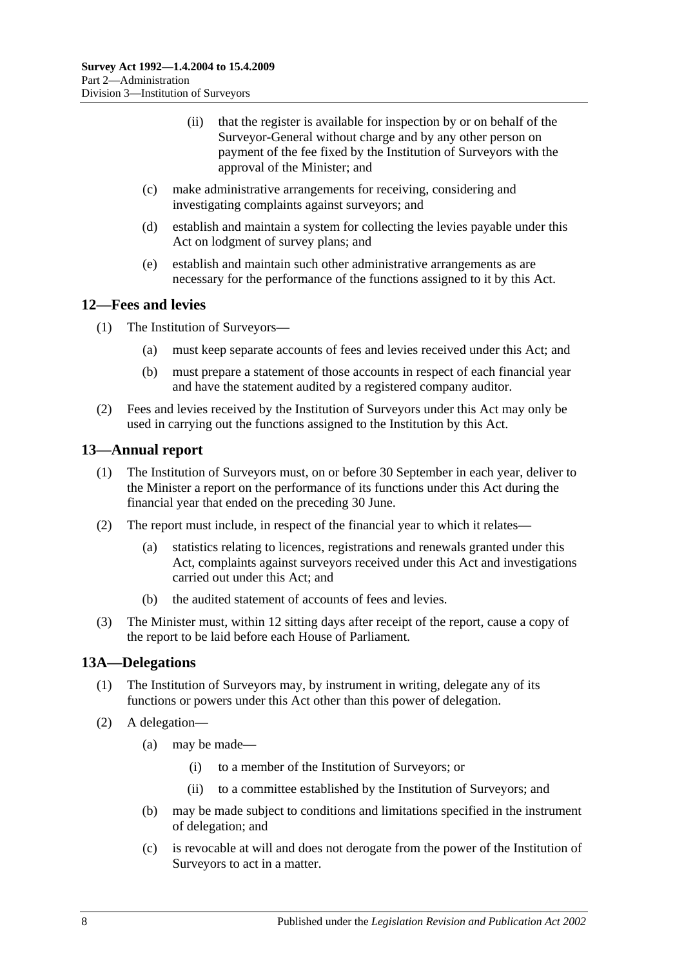- (ii) that the register is available for inspection by or on behalf of the Surveyor-General without charge and by any other person on payment of the fee fixed by the Institution of Surveyors with the approval of the Minister; and
- (c) make administrative arrangements for receiving, considering and investigating complaints against surveyors; and
- (d) establish and maintain a system for collecting the levies payable under this Act on lodgment of survey plans; and
- (e) establish and maintain such other administrative arrangements as are necessary for the performance of the functions assigned to it by this Act.

### <span id="page-7-0"></span>**12—Fees and levies**

- (1) The Institution of Surveyors—
	- (a) must keep separate accounts of fees and levies received under this Act; and
	- (b) must prepare a statement of those accounts in respect of each financial year and have the statement audited by a registered company auditor.
- (2) Fees and levies received by the Institution of Surveyors under this Act may only be used in carrying out the functions assigned to the Institution by this Act.

#### <span id="page-7-1"></span>**13—Annual report**

- (1) The Institution of Surveyors must, on or before 30 September in each year, deliver to the Minister a report on the performance of its functions under this Act during the financial year that ended on the preceding 30 June.
- (2) The report must include, in respect of the financial year to which it relates—
	- (a) statistics relating to licences, registrations and renewals granted under this Act, complaints against surveyors received under this Act and investigations carried out under this Act; and
	- (b) the audited statement of accounts of fees and levies.
- (3) The Minister must, within 12 sitting days after receipt of the report, cause a copy of the report to be laid before each House of Parliament.

#### <span id="page-7-2"></span>**13A—Delegations**

- (1) The Institution of Surveyors may, by instrument in writing, delegate any of its functions or powers under this Act other than this power of delegation.
- (2) A delegation—
	- (a) may be made—
		- (i) to a member of the Institution of Surveyors; or
		- (ii) to a committee established by the Institution of Surveyors; and
	- (b) may be made subject to conditions and limitations specified in the instrument of delegation; and
	- (c) is revocable at will and does not derogate from the power of the Institution of Surveyors to act in a matter.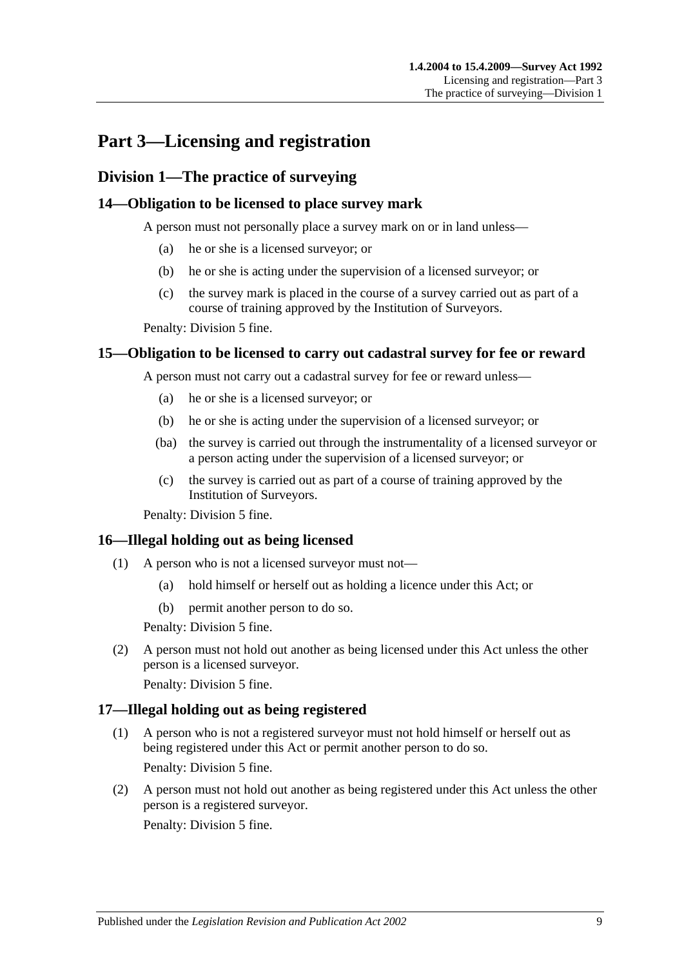## <span id="page-8-0"></span>**Part 3—Licensing and registration**

## <span id="page-8-1"></span>**Division 1—The practice of surveying**

### <span id="page-8-2"></span>**14—Obligation to be licensed to place survey mark**

A person must not personally place a survey mark on or in land unless—

- (a) he or she is a licensed surveyor; or
- (b) he or she is acting under the supervision of a licensed surveyor; or
- (c) the survey mark is placed in the course of a survey carried out as part of a course of training approved by the Institution of Surveyors.

Penalty: Division 5 fine.

### <span id="page-8-3"></span>**15—Obligation to be licensed to carry out cadastral survey for fee or reward**

A person must not carry out a cadastral survey for fee or reward unless—

- (a) he or she is a licensed surveyor; or
- (b) he or she is acting under the supervision of a licensed surveyor; or
- (ba) the survey is carried out through the instrumentality of a licensed surveyor or a person acting under the supervision of a licensed surveyor; or
- (c) the survey is carried out as part of a course of training approved by the Institution of Surveyors.

Penalty: Division 5 fine.

#### <span id="page-8-4"></span>**16—Illegal holding out as being licensed**

- (1) A person who is not a licensed surveyor must not—
	- (a) hold himself or herself out as holding a licence under this Act; or
	- (b) permit another person to do so.

Penalty: Division 5 fine.

(2) A person must not hold out another as being licensed under this Act unless the other person is a licensed surveyor.

Penalty: Division 5 fine.

## <span id="page-8-5"></span>**17—Illegal holding out as being registered**

- (1) A person who is not a registered surveyor must not hold himself or herself out as being registered under this Act or permit another person to do so. Penalty: Division 5 fine.
- (2) A person must not hold out another as being registered under this Act unless the other person is a registered surveyor. Penalty: Division 5 fine.

Published under the *Legislation Revision and Publication Act 2002* 9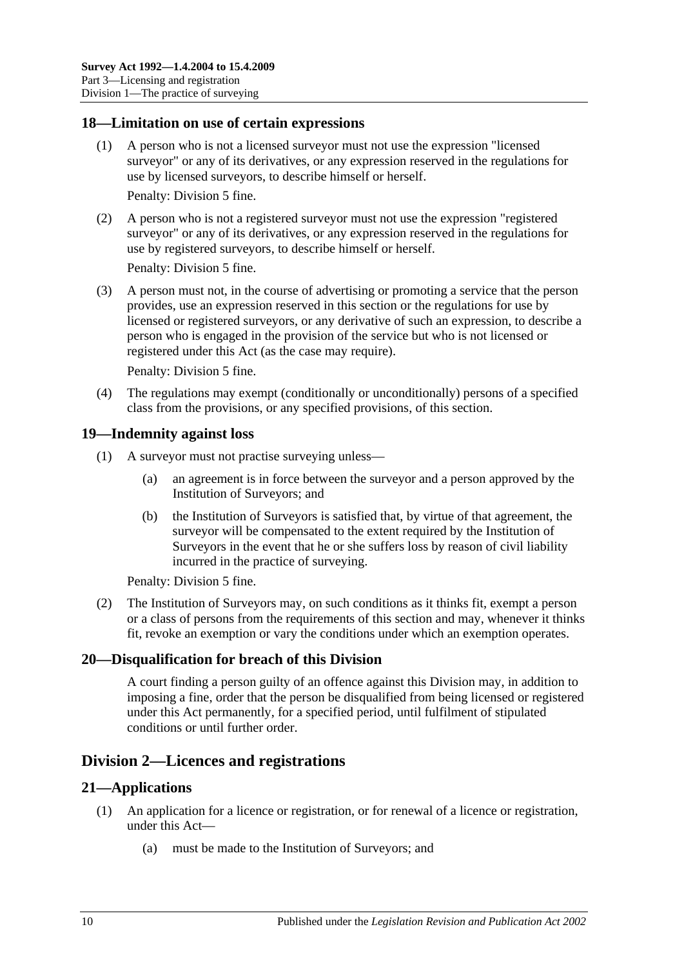#### <span id="page-9-0"></span>**18—Limitation on use of certain expressions**

(1) A person who is not a licensed surveyor must not use the expression "licensed surveyor" or any of its derivatives, or any expression reserved in the regulations for use by licensed surveyors, to describe himself or herself.

Penalty: Division 5 fine.

(2) A person who is not a registered surveyor must not use the expression "registered surveyor" or any of its derivatives, or any expression reserved in the regulations for use by registered surveyors, to describe himself or herself.

Penalty: Division 5 fine.

(3) A person must not, in the course of advertising or promoting a service that the person provides, use an expression reserved in this section or the regulations for use by licensed or registered surveyors, or any derivative of such an expression, to describe a person who is engaged in the provision of the service but who is not licensed or registered under this Act (as the case may require).

Penalty: Division 5 fine.

(4) The regulations may exempt (conditionally or unconditionally) persons of a specified class from the provisions, or any specified provisions, of this section.

#### <span id="page-9-1"></span>**19—Indemnity against loss**

- (1) A surveyor must not practise surveying unless—
	- (a) an agreement is in force between the surveyor and a person approved by the Institution of Surveyors; and
	- (b) the Institution of Surveyors is satisfied that, by virtue of that agreement, the surveyor will be compensated to the extent required by the Institution of Surveyors in the event that he or she suffers loss by reason of civil liability incurred in the practice of surveying.

Penalty: Division 5 fine.

(2) The Institution of Surveyors may, on such conditions as it thinks fit, exempt a person or a class of persons from the requirements of this section and may, whenever it thinks fit, revoke an exemption or vary the conditions under which an exemption operates.

#### <span id="page-9-2"></span>**20—Disqualification for breach of this Division**

A court finding a person guilty of an offence against this Division may, in addition to imposing a fine, order that the person be disqualified from being licensed or registered under this Act permanently, for a specified period, until fulfilment of stipulated conditions or until further order.

## <span id="page-9-3"></span>**Division 2—Licences and registrations**

#### <span id="page-9-4"></span>**21—Applications**

- (1) An application for a licence or registration, or for renewal of a licence or registration, under this Act—
	- (a) must be made to the Institution of Surveyors; and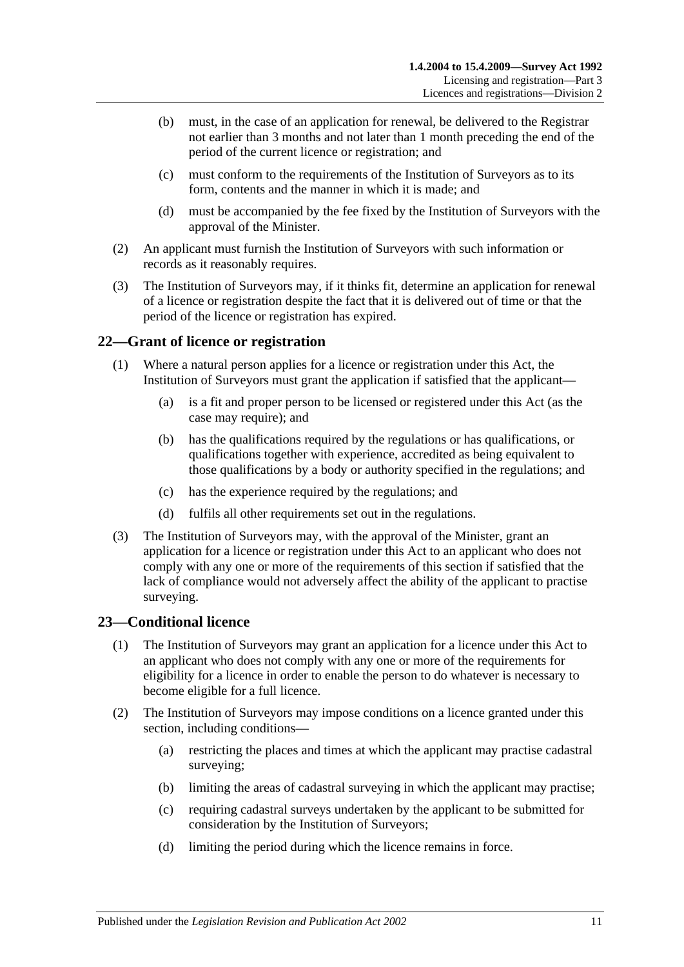- (b) must, in the case of an application for renewal, be delivered to the Registrar not earlier than 3 months and not later than 1 month preceding the end of the period of the current licence or registration; and
- (c) must conform to the requirements of the Institution of Surveyors as to its form, contents and the manner in which it is made; and
- (d) must be accompanied by the fee fixed by the Institution of Surveyors with the approval of the Minister.
- (2) An applicant must furnish the Institution of Surveyors with such information or records as it reasonably requires.
- (3) The Institution of Surveyors may, if it thinks fit, determine an application for renewal of a licence or registration despite the fact that it is delivered out of time or that the period of the licence or registration has expired.

#### <span id="page-10-0"></span>**22—Grant of licence or registration**

- (1) Where a natural person applies for a licence or registration under this Act, the Institution of Surveyors must grant the application if satisfied that the applicant—
	- (a) is a fit and proper person to be licensed or registered under this Act (as the case may require); and
	- (b) has the qualifications required by the regulations or has qualifications, or qualifications together with experience, accredited as being equivalent to those qualifications by a body or authority specified in the regulations; and
	- (c) has the experience required by the regulations; and
	- (d) fulfils all other requirements set out in the regulations.
- (3) The Institution of Surveyors may, with the approval of the Minister, grant an application for a licence or registration under this Act to an applicant who does not comply with any one or more of the requirements of this section if satisfied that the lack of compliance would not adversely affect the ability of the applicant to practise surveying.

#### <span id="page-10-1"></span>**23—Conditional licence**

- (1) The Institution of Surveyors may grant an application for a licence under this Act to an applicant who does not comply with any one or more of the requirements for eligibility for a licence in order to enable the person to do whatever is necessary to become eligible for a full licence.
- (2) The Institution of Surveyors may impose conditions on a licence granted under this section, including conditions—
	- (a) restricting the places and times at which the applicant may practise cadastral surveying;
	- (b) limiting the areas of cadastral surveying in which the applicant may practise;
	- (c) requiring cadastral surveys undertaken by the applicant to be submitted for consideration by the Institution of Surveyors;
	- (d) limiting the period during which the licence remains in force.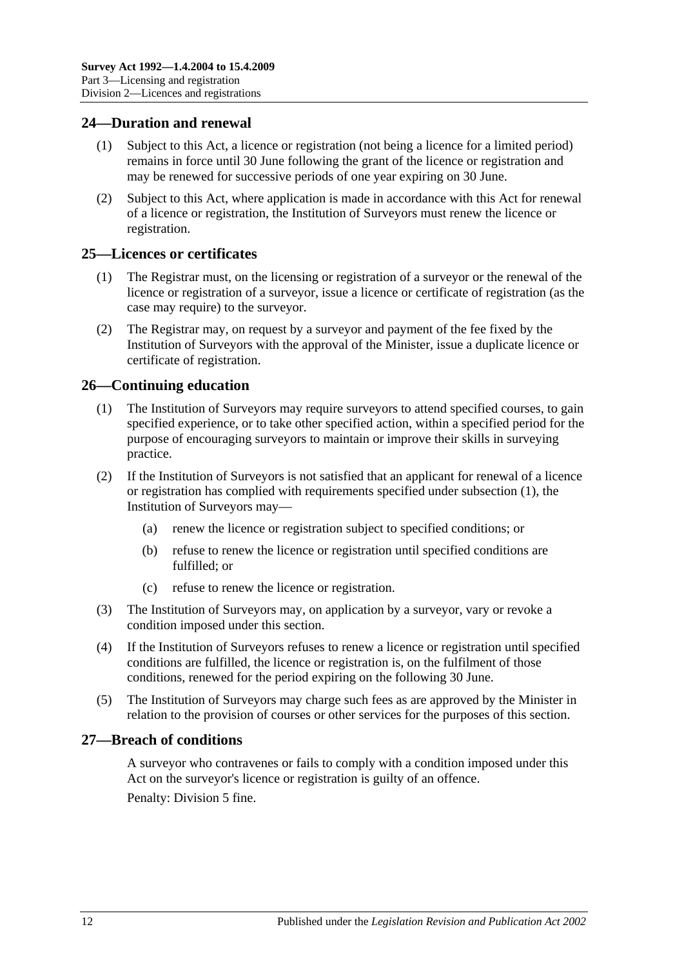#### <span id="page-11-0"></span>**24—Duration and renewal**

- (1) Subject to this Act, a licence or registration (not being a licence for a limited period) remains in force until 30 June following the grant of the licence or registration and may be renewed for successive periods of one year expiring on 30 June.
- (2) Subject to this Act, where application is made in accordance with this Act for renewal of a licence or registration, the Institution of Surveyors must renew the licence or registration.

#### <span id="page-11-1"></span>**25—Licences or certificates**

- (1) The Registrar must, on the licensing or registration of a surveyor or the renewal of the licence or registration of a surveyor, issue a licence or certificate of registration (as the case may require) to the surveyor.
- (2) The Registrar may, on request by a surveyor and payment of the fee fixed by the Institution of Surveyors with the approval of the Minister, issue a duplicate licence or certificate of registration.

### <span id="page-11-4"></span><span id="page-11-2"></span>**26—Continuing education**

- (1) The Institution of Surveyors may require surveyors to attend specified courses, to gain specified experience, or to take other specified action, within a specified period for the purpose of encouraging surveyors to maintain or improve their skills in surveying practice.
- (2) If the Institution of Surveyors is not satisfied that an applicant for renewal of a licence or registration has complied with requirements specified under [subsection](#page-11-4) (1), the Institution of Surveyors may—
	- (a) renew the licence or registration subject to specified conditions; or
	- (b) refuse to renew the licence or registration until specified conditions are fulfilled; or
	- (c) refuse to renew the licence or registration.
- (3) The Institution of Surveyors may, on application by a surveyor, vary or revoke a condition imposed under this section.
- (4) If the Institution of Surveyors refuses to renew a licence or registration until specified conditions are fulfilled, the licence or registration is, on the fulfilment of those conditions, renewed for the period expiring on the following 30 June.
- (5) The Institution of Surveyors may charge such fees as are approved by the Minister in relation to the provision of courses or other services for the purposes of this section.

#### <span id="page-11-3"></span>**27—Breach of conditions**

A surveyor who contravenes or fails to comply with a condition imposed under this Act on the surveyor's licence or registration is guilty of an offence. Penalty: Division 5 fine.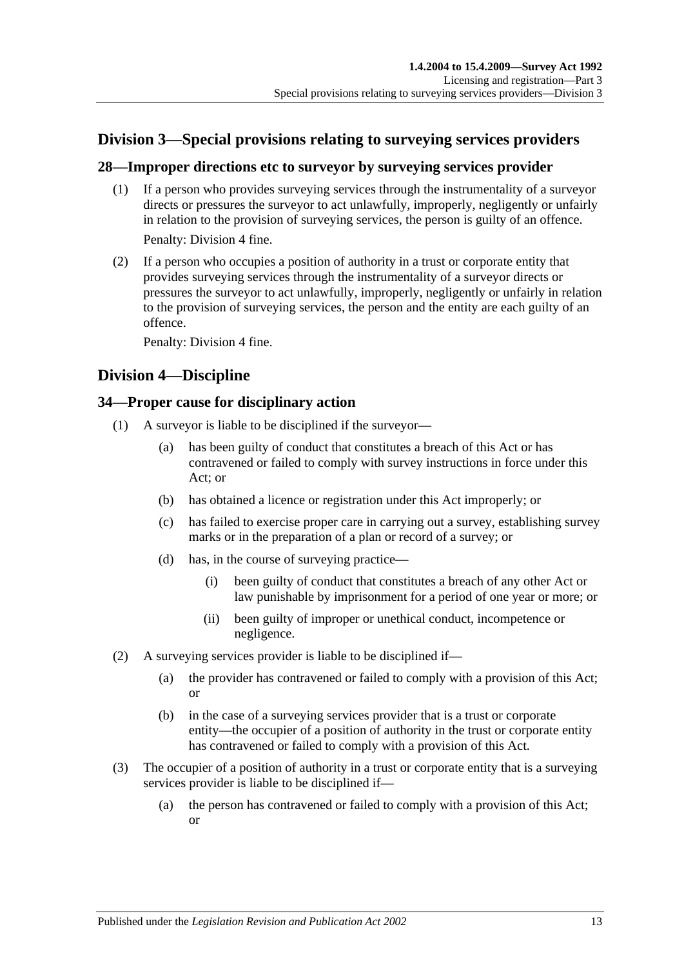## <span id="page-12-0"></span>**Division 3—Special provisions relating to surveying services providers**

### <span id="page-12-1"></span>**28—Improper directions etc to surveyor by surveying services provider**

(1) If a person who provides surveying services through the instrumentality of a surveyor directs or pressures the surveyor to act unlawfully, improperly, negligently or unfairly in relation to the provision of surveying services, the person is guilty of an offence.

Penalty: Division 4 fine.

(2) If a person who occupies a position of authority in a trust or corporate entity that provides surveying services through the instrumentality of a surveyor directs or pressures the surveyor to act unlawfully, improperly, negligently or unfairly in relation to the provision of surveying services, the person and the entity are each guilty of an offence.

Penalty: Division 4 fine.

## <span id="page-12-2"></span>**Division 4—Discipline**

#### <span id="page-12-3"></span>**34—Proper cause for disciplinary action**

- (1) A surveyor is liable to be disciplined if the surveyor—
	- (a) has been guilty of conduct that constitutes a breach of this Act or has contravened or failed to comply with survey instructions in force under this Act; or
	- (b) has obtained a licence or registration under this Act improperly; or
	- (c) has failed to exercise proper care in carrying out a survey, establishing survey marks or in the preparation of a plan or record of a survey; or
	- (d) has, in the course of surveying practice—
		- (i) been guilty of conduct that constitutes a breach of any other Act or law punishable by imprisonment for a period of one year or more; or
		- (ii) been guilty of improper or unethical conduct, incompetence or negligence.
- (2) A surveying services provider is liable to be disciplined if—
	- (a) the provider has contravened or failed to comply with a provision of this Act; or
	- (b) in the case of a surveying services provider that is a trust or corporate entity—the occupier of a position of authority in the trust or corporate entity has contravened or failed to comply with a provision of this Act.
- (3) The occupier of a position of authority in a trust or corporate entity that is a surveying services provider is liable to be disciplined if—
	- (a) the person has contravened or failed to comply with a provision of this Act; or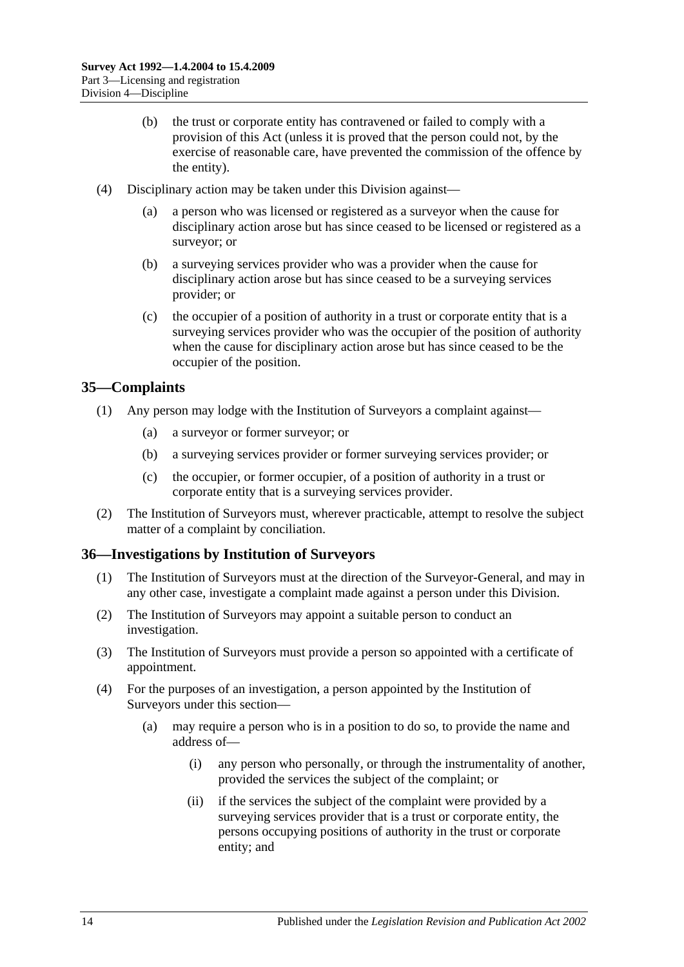- (b) the trust or corporate entity has contravened or failed to comply with a provision of this Act (unless it is proved that the person could not, by the exercise of reasonable care, have prevented the commission of the offence by the entity).
- (4) Disciplinary action may be taken under this Division against—
	- (a) a person who was licensed or registered as a surveyor when the cause for disciplinary action arose but has since ceased to be licensed or registered as a surveyor; or
	- (b) a surveying services provider who was a provider when the cause for disciplinary action arose but has since ceased to be a surveying services provider; or
	- (c) the occupier of a position of authority in a trust or corporate entity that is a surveying services provider who was the occupier of the position of authority when the cause for disciplinary action arose but has since ceased to be the occupier of the position.

#### <span id="page-13-0"></span>**35—Complaints**

- (1) Any person may lodge with the Institution of Surveyors a complaint against—
	- (a) a surveyor or former surveyor; or
	- (b) a surveying services provider or former surveying services provider; or
	- (c) the occupier, or former occupier, of a position of authority in a trust or corporate entity that is a surveying services provider.
- (2) The Institution of Surveyors must, wherever practicable, attempt to resolve the subject matter of a complaint by conciliation.

#### <span id="page-13-1"></span>**36—Investigations by Institution of Surveyors**

- (1) The Institution of Surveyors must at the direction of the Surveyor-General, and may in any other case, investigate a complaint made against a person under this Division.
- (2) The Institution of Surveyors may appoint a suitable person to conduct an investigation.
- (3) The Institution of Surveyors must provide a person so appointed with a certificate of appointment.
- (4) For the purposes of an investigation, a person appointed by the Institution of Surveyors under this section—
	- (a) may require a person who is in a position to do so, to provide the name and address of—
		- (i) any person who personally, or through the instrumentality of another, provided the services the subject of the complaint; or
		- (ii) if the services the subject of the complaint were provided by a surveying services provider that is a trust or corporate entity, the persons occupying positions of authority in the trust or corporate entity; and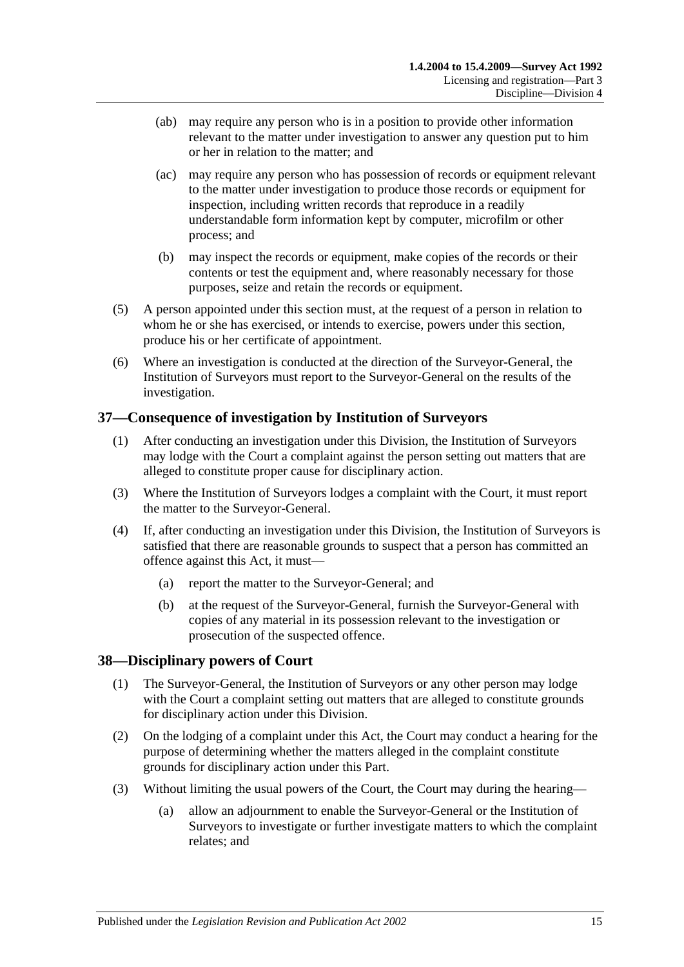- (ab) may require any person who is in a position to provide other information relevant to the matter under investigation to answer any question put to him or her in relation to the matter; and
- (ac) may require any person who has possession of records or equipment relevant to the matter under investigation to produce those records or equipment for inspection, including written records that reproduce in a readily understandable form information kept by computer, microfilm or other process; and
- (b) may inspect the records or equipment, make copies of the records or their contents or test the equipment and, where reasonably necessary for those purposes, seize and retain the records or equipment.
- (5) A person appointed under this section must, at the request of a person in relation to whom he or she has exercised, or intends to exercise, powers under this section, produce his or her certificate of appointment.
- (6) Where an investigation is conducted at the direction of the Surveyor-General, the Institution of Surveyors must report to the Surveyor-General on the results of the investigation.

## <span id="page-14-0"></span>**37—Consequence of investigation by Institution of Surveyors**

- (1) After conducting an investigation under this Division, the Institution of Surveyors may lodge with the Court a complaint against the person setting out matters that are alleged to constitute proper cause for disciplinary action.
- (3) Where the Institution of Surveyors lodges a complaint with the Court, it must report the matter to the Surveyor-General.
- (4) If, after conducting an investigation under this Division, the Institution of Surveyors is satisfied that there are reasonable grounds to suspect that a person has committed an offence against this Act, it must—
	- (a) report the matter to the Surveyor-General; and
	- (b) at the request of the Surveyor-General, furnish the Surveyor-General with copies of any material in its possession relevant to the investigation or prosecution of the suspected offence.

## <span id="page-14-1"></span>**38—Disciplinary powers of Court**

- (1) The Surveyor-General, the Institution of Surveyors or any other person may lodge with the Court a complaint setting out matters that are alleged to constitute grounds for disciplinary action under this Division.
- (2) On the lodging of a complaint under this Act, the Court may conduct a hearing for the purpose of determining whether the matters alleged in the complaint constitute grounds for disciplinary action under this Part.
- (3) Without limiting the usual powers of the Court, the Court may during the hearing—
	- (a) allow an adjournment to enable the Surveyor-General or the Institution of Surveyors to investigate or further investigate matters to which the complaint relates; and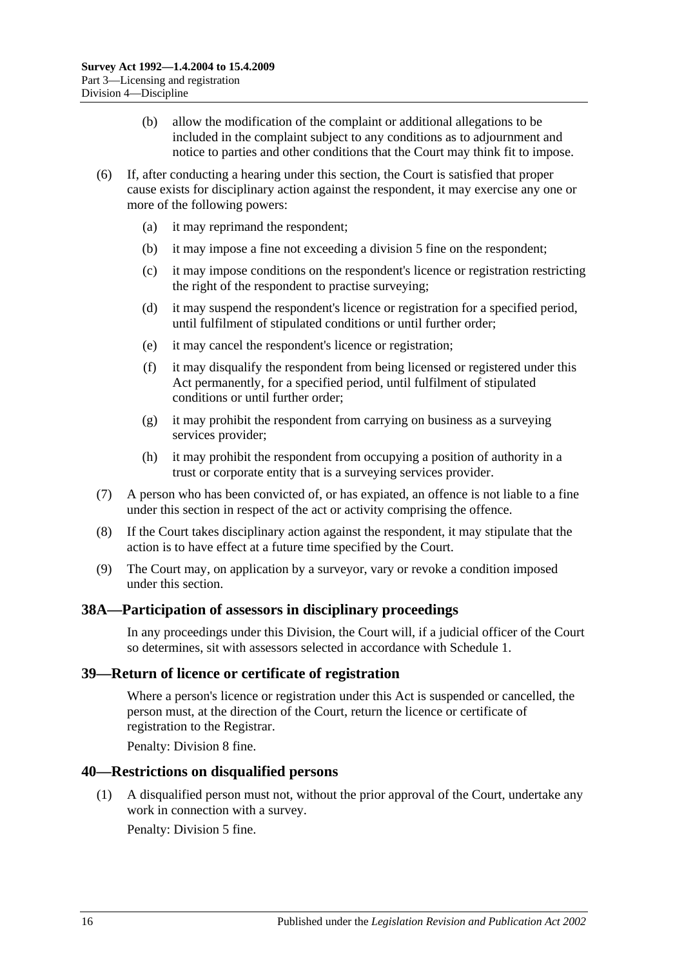- (b) allow the modification of the complaint or additional allegations to be included in the complaint subject to any conditions as to adjournment and notice to parties and other conditions that the Court may think fit to impose.
- (6) If, after conducting a hearing under this section, the Court is satisfied that proper cause exists for disciplinary action against the respondent, it may exercise any one or more of the following powers:
	- (a) it may reprimand the respondent;
	- (b) it may impose a fine not exceeding a division 5 fine on the respondent;
	- (c) it may impose conditions on the respondent's licence or registration restricting the right of the respondent to practise surveying;
	- (d) it may suspend the respondent's licence or registration for a specified period, until fulfilment of stipulated conditions or until further order;
	- (e) it may cancel the respondent's licence or registration;
	- (f) it may disqualify the respondent from being licensed or registered under this Act permanently, for a specified period, until fulfilment of stipulated conditions or until further order;
	- (g) it may prohibit the respondent from carrying on business as a surveying services provider;
	- (h) it may prohibit the respondent from occupying a position of authority in a trust or corporate entity that is a surveying services provider.
- (7) A person who has been convicted of, or has expiated, an offence is not liable to a fine under this section in respect of the act or activity comprising the offence.
- (8) If the Court takes disciplinary action against the respondent, it may stipulate that the action is to have effect at a future time specified by the Court.
- (9) The Court may, on application by a surveyor, vary or revoke a condition imposed under this section.

#### <span id="page-15-0"></span>**38A—Participation of assessors in disciplinary proceedings**

In any proceedings under this Division, the Court will, if a judicial officer of the Court so determines, sit with assessors selected in accordance with [Schedule 1.](#page-27-0)

#### <span id="page-15-1"></span>**39—Return of licence or certificate of registration**

Where a person's licence or registration under this Act is suspended or cancelled, the person must, at the direction of the Court, return the licence or certificate of registration to the Registrar.

Penalty: Division 8 fine.

#### <span id="page-15-2"></span>**40—Restrictions on disqualified persons**

(1) A disqualified person must not, without the prior approval of the Court, undertake any work in connection with a survey.

Penalty: Division 5 fine.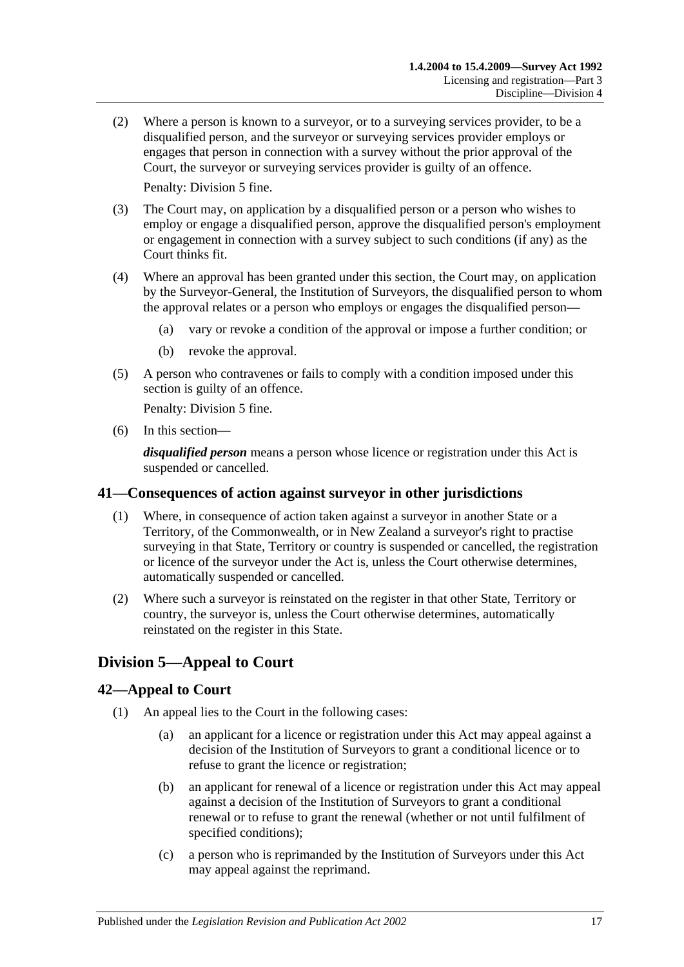(2) Where a person is known to a surveyor, or to a surveying services provider, to be a disqualified person, and the surveyor or surveying services provider employs or engages that person in connection with a survey without the prior approval of the Court, the surveyor or surveying services provider is guilty of an offence.

Penalty: Division 5 fine.

- (3) The Court may, on application by a disqualified person or a person who wishes to employ or engage a disqualified person, approve the disqualified person's employment or engagement in connection with a survey subject to such conditions (if any) as the Court thinks fit.
- (4) Where an approval has been granted under this section, the Court may, on application by the Surveyor-General, the Institution of Surveyors, the disqualified person to whom the approval relates or a person who employs or engages the disqualified person—
	- (a) vary or revoke a condition of the approval or impose a further condition; or
	- (b) revoke the approval.
- (5) A person who contravenes or fails to comply with a condition imposed under this section is guilty of an offence.

Penalty: Division 5 fine.

(6) In this section—

*disqualified person* means a person whose licence or registration under this Act is suspended or cancelled.

#### <span id="page-16-0"></span>**41—Consequences of action against surveyor in other jurisdictions**

- (1) Where, in consequence of action taken against a surveyor in another State or a Territory, of the Commonwealth, or in New Zealand a surveyor's right to practise surveying in that State, Territory or country is suspended or cancelled, the registration or licence of the surveyor under the Act is, unless the Court otherwise determines, automatically suspended or cancelled.
- (2) Where such a surveyor is reinstated on the register in that other State, Territory or country, the surveyor is, unless the Court otherwise determines, automatically reinstated on the register in this State.

## <span id="page-16-1"></span>**Division 5—Appeal to Court**

#### <span id="page-16-2"></span>**42—Appeal to Court**

- (1) An appeal lies to the Court in the following cases:
	- (a) an applicant for a licence or registration under this Act may appeal against a decision of the Institution of Surveyors to grant a conditional licence or to refuse to grant the licence or registration;
	- (b) an applicant for renewal of a licence or registration under this Act may appeal against a decision of the Institution of Surveyors to grant a conditional renewal or to refuse to grant the renewal (whether or not until fulfilment of specified conditions);
	- (c) a person who is reprimanded by the Institution of Surveyors under this Act may appeal against the reprimand.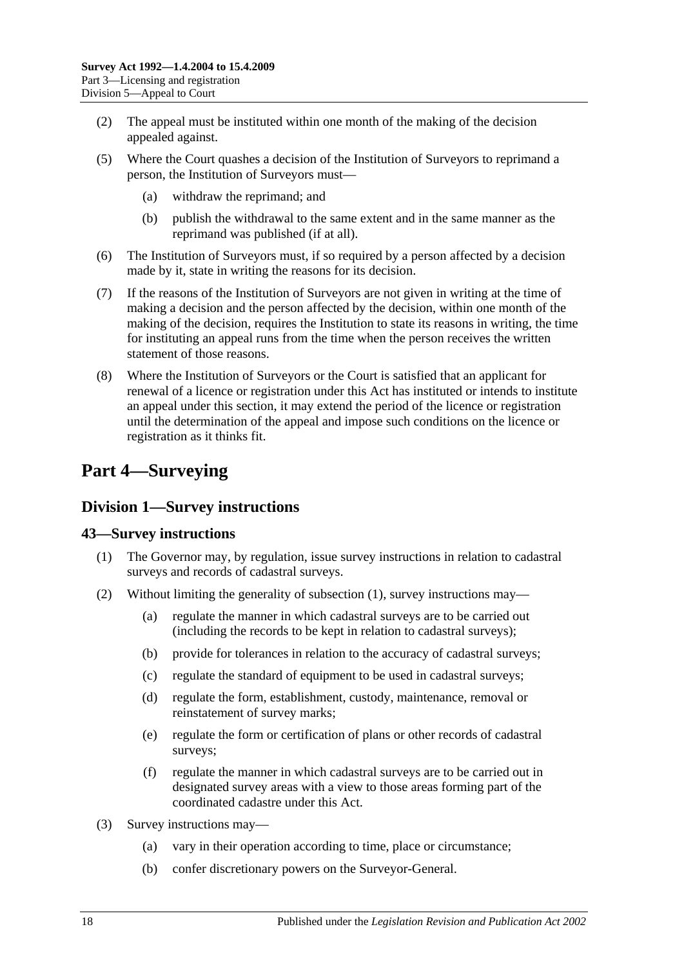- (2) The appeal must be instituted within one month of the making of the decision appealed against.
- (5) Where the Court quashes a decision of the Institution of Surveyors to reprimand a person, the Institution of Surveyors must—
	- (a) withdraw the reprimand; and
	- (b) publish the withdrawal to the same extent and in the same manner as the reprimand was published (if at all).
- (6) The Institution of Surveyors must, if so required by a person affected by a decision made by it, state in writing the reasons for its decision.
- (7) If the reasons of the Institution of Surveyors are not given in writing at the time of making a decision and the person affected by the decision, within one month of the making of the decision, requires the Institution to state its reasons in writing, the time for instituting an appeal runs from the time when the person receives the written statement of those reasons.
- (8) Where the Institution of Surveyors or the Court is satisfied that an applicant for renewal of a licence or registration under this Act has instituted or intends to institute an appeal under this section, it may extend the period of the licence or registration until the determination of the appeal and impose such conditions on the licence or registration as it thinks fit.

## <span id="page-17-0"></span>**Part 4—Surveying**

## <span id="page-17-1"></span>**Division 1—Survey instructions**

#### <span id="page-17-3"></span><span id="page-17-2"></span>**43—Survey instructions**

- (1) The Governor may, by regulation, issue survey instructions in relation to cadastral surveys and records of cadastral surveys.
- (2) Without limiting the generality of [subsection](#page-17-3) (1), survey instructions may—
	- (a) regulate the manner in which cadastral surveys are to be carried out (including the records to be kept in relation to cadastral surveys);
	- (b) provide for tolerances in relation to the accuracy of cadastral surveys;
	- (c) regulate the standard of equipment to be used in cadastral surveys;
	- (d) regulate the form, establishment, custody, maintenance, removal or reinstatement of survey marks;
	- (e) regulate the form or certification of plans or other records of cadastral surveys;
	- (f) regulate the manner in which cadastral surveys are to be carried out in designated survey areas with a view to those areas forming part of the coordinated cadastre under this Act.
- <span id="page-17-4"></span>(3) Survey instructions may—
	- (a) vary in their operation according to time, place or circumstance;
	- (b) confer discretionary powers on the Surveyor-General.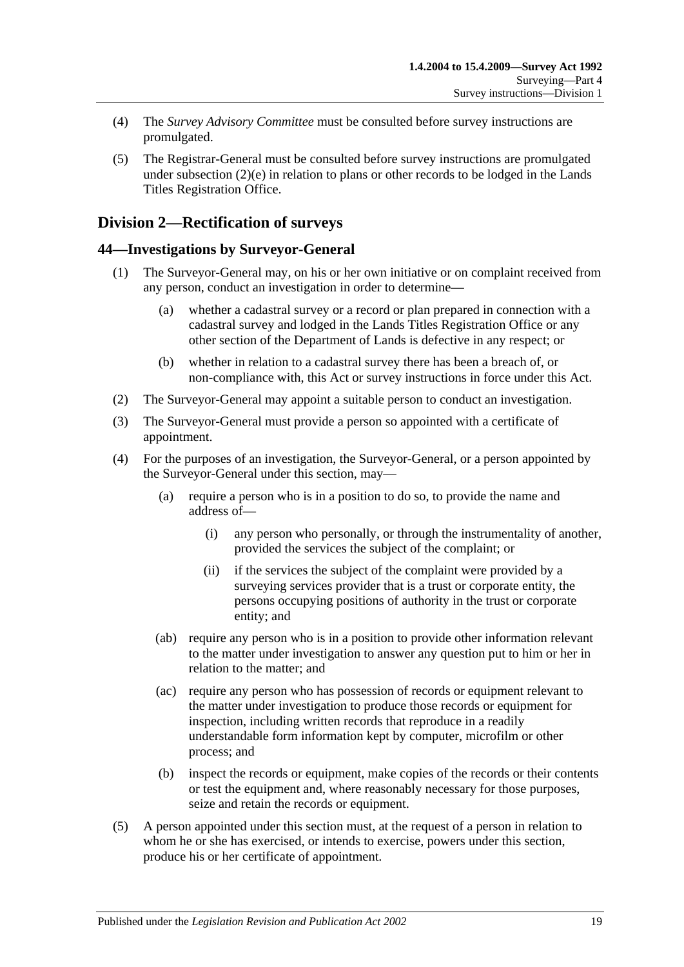- (4) The *Survey Advisory Committee* must be consulted before survey instructions are promulgated.
- (5) The Registrar-General must be consulted before survey instructions are promulgated under [subsection](#page-17-4)  $(2)(e)$  in relation to plans or other records to be lodged in the Lands Titles Registration Office.

## <span id="page-18-0"></span>**Division 2—Rectification of surveys**

### <span id="page-18-1"></span>**44—Investigations by Surveyor-General**

- (1) The Surveyor-General may, on his or her own initiative or on complaint received from any person, conduct an investigation in order to determine—
	- (a) whether a cadastral survey or a record or plan prepared in connection with a cadastral survey and lodged in the Lands Titles Registration Office or any other section of the Department of Lands is defective in any respect; or
	- (b) whether in relation to a cadastral survey there has been a breach of, or non-compliance with, this Act or survey instructions in force under this Act.
- (2) The Surveyor-General may appoint a suitable person to conduct an investigation.
- (3) The Surveyor-General must provide a person so appointed with a certificate of appointment.
- (4) For the purposes of an investigation, the Surveyor-General, or a person appointed by the Surveyor-General under this section, may—
	- (a) require a person who is in a position to do so, to provide the name and address of—
		- (i) any person who personally, or through the instrumentality of another, provided the services the subject of the complaint; or
		- (ii) if the services the subject of the complaint were provided by a surveying services provider that is a trust or corporate entity, the persons occupying positions of authority in the trust or corporate entity; and
	- (ab) require any person who is in a position to provide other information relevant to the matter under investigation to answer any question put to him or her in relation to the matter; and
	- (ac) require any person who has possession of records or equipment relevant to the matter under investigation to produce those records or equipment for inspection, including written records that reproduce in a readily understandable form information kept by computer, microfilm or other process; and
	- (b) inspect the records or equipment, make copies of the records or their contents or test the equipment and, where reasonably necessary for those purposes, seize and retain the records or equipment.
- (5) A person appointed under this section must, at the request of a person in relation to whom he or she has exercised, or intends to exercise, powers under this section, produce his or her certificate of appointment.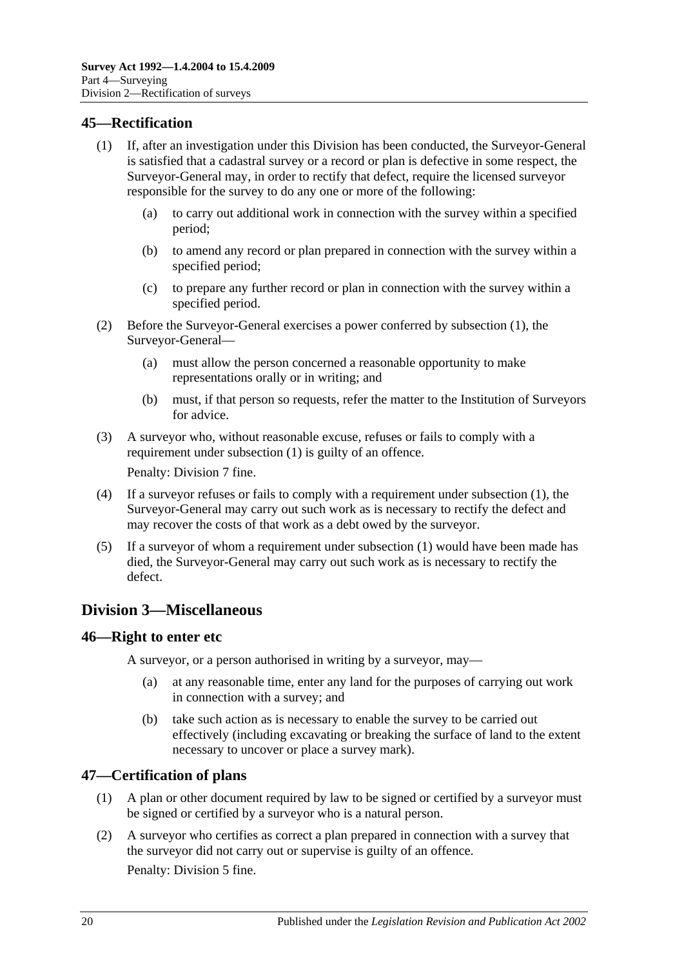### <span id="page-19-4"></span><span id="page-19-0"></span>**45—Rectification**

- (1) If, after an investigation under this Division has been conducted, the Surveyor-General is satisfied that a cadastral survey or a record or plan is defective in some respect, the Surveyor-General may, in order to rectify that defect, require the licensed surveyor responsible for the survey to do any one or more of the following:
	- (a) to carry out additional work in connection with the survey within a specified period;
	- (b) to amend any record or plan prepared in connection with the survey within a specified period;
	- (c) to prepare any further record or plan in connection with the survey within a specified period.
- (2) Before the Surveyor-General exercises a power conferred by [subsection](#page-19-4) (1), the Surveyor-General—
	- (a) must allow the person concerned a reasonable opportunity to make representations orally or in writing; and
	- (b) must, if that person so requests, refer the matter to the Institution of Surveyors for advice.
- (3) A surveyor who, without reasonable excuse, refuses or fails to comply with a requirement under [subsection](#page-19-4) (1) is guilty of an offence.

Penalty: Division 7 fine.

- (4) If a surveyor refuses or fails to comply with a requirement under [subsection](#page-19-4) (1), the Surveyor-General may carry out such work as is necessary to rectify the defect and may recover the costs of that work as a debt owed by the surveyor.
- (5) If a surveyor of whom a requirement under [subsection](#page-19-4) (1) would have been made has died, the Surveyor-General may carry out such work as is necessary to rectify the defect.

## <span id="page-19-1"></span>**Division 3—Miscellaneous**

#### <span id="page-19-2"></span>**46—Right to enter etc**

A surveyor, or a person authorised in writing by a surveyor, may—

- (a) at any reasonable time, enter any land for the purposes of carrying out work in connection with a survey; and
- (b) take such action as is necessary to enable the survey to be carried out effectively (including excavating or breaking the surface of land to the extent necessary to uncover or place a survey mark).

## <span id="page-19-3"></span>**47—Certification of plans**

- (1) A plan or other document required by law to be signed or certified by a surveyor must be signed or certified by a surveyor who is a natural person.
- (2) A surveyor who certifies as correct a plan prepared in connection with a survey that the surveyor did not carry out or supervise is guilty of an offence.

Penalty: Division 5 fine.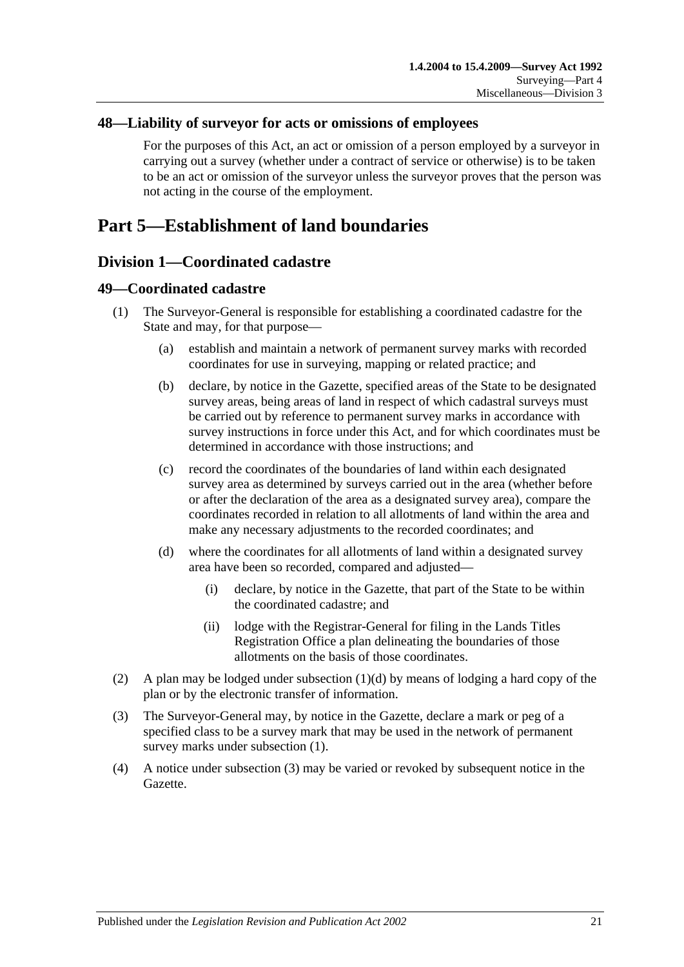#### <span id="page-20-0"></span>**48—Liability of surveyor for acts or omissions of employees**

For the purposes of this Act, an act or omission of a person employed by a surveyor in carrying out a survey (whether under a contract of service or otherwise) is to be taken to be an act or omission of the surveyor unless the surveyor proves that the person was not acting in the course of the employment.

## <span id="page-20-2"></span><span id="page-20-1"></span>**Part 5—Establishment of land boundaries**

### **Division 1—Coordinated cadastre**

#### <span id="page-20-5"></span><span id="page-20-3"></span>**49—Coordinated cadastre**

- (1) The Surveyor-General is responsible for establishing a coordinated cadastre for the State and may, for that purpose—
	- (a) establish and maintain a network of permanent survey marks with recorded coordinates for use in surveying, mapping or related practice; and
	- (b) declare, by notice in the Gazette, specified areas of the State to be designated survey areas, being areas of land in respect of which cadastral surveys must be carried out by reference to permanent survey marks in accordance with survey instructions in force under this Act, and for which coordinates must be determined in accordance with those instructions; and
	- (c) record the coordinates of the boundaries of land within each designated survey area as determined by surveys carried out in the area (whether before or after the declaration of the area as a designated survey area), compare the coordinates recorded in relation to all allotments of land within the area and make any necessary adjustments to the recorded coordinates; and
	- (d) where the coordinates for all allotments of land within a designated survey area have been so recorded, compared and adjusted—
		- (i) declare, by notice in the Gazette, that part of the State to be within the coordinated cadastre; and
		- (ii) lodge with the Registrar-General for filing in the Lands Titles Registration Office a plan delineating the boundaries of those allotments on the basis of those coordinates.
- <span id="page-20-4"></span>(2) A plan may be lodged under [subsection](#page-20-4)  $(1)(d)$  by means of lodging a hard copy of the plan or by the electronic transfer of information.
- <span id="page-20-6"></span>(3) The Surveyor-General may, by notice in the Gazette, declare a mark or peg of a specified class to be a survey mark that may be used in the network of permanent survey marks under [subsection](#page-20-5) (1).
- (4) A notice under [subsection](#page-20-6) (3) may be varied or revoked by subsequent notice in the Gazette.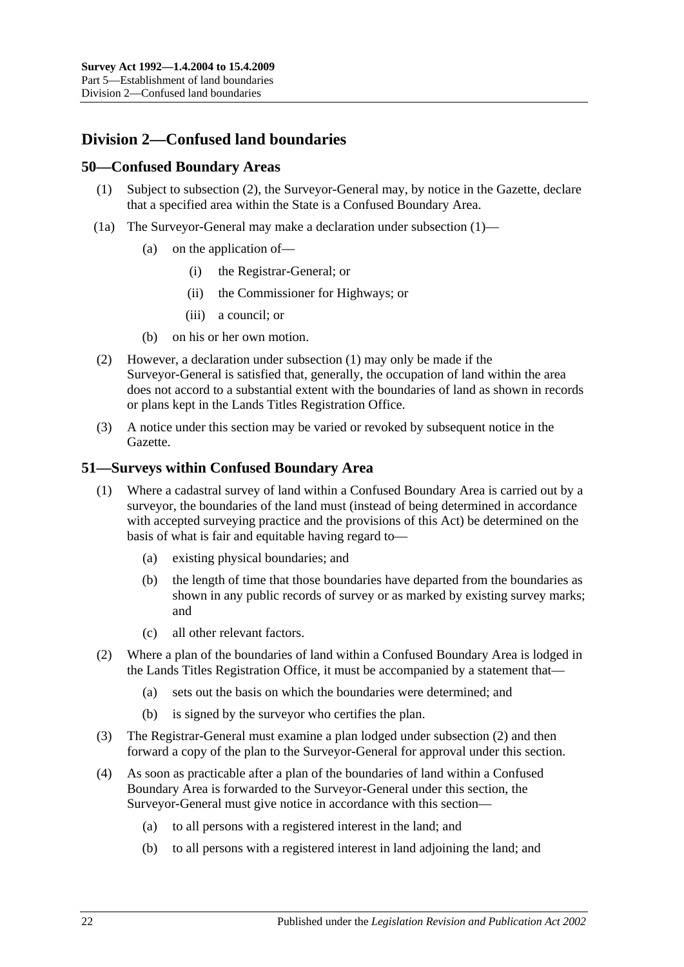## <span id="page-21-0"></span>**Division 2—Confused land boundaries**

#### <span id="page-21-4"></span><span id="page-21-1"></span>**50—Confused Boundary Areas**

- (1) Subject to [subsection](#page-21-3) (2), the Surveyor-General may, by notice in the Gazette, declare that a specified area within the State is a Confused Boundary Area.
- (1a) The Surveyor-General may make a declaration under [subsection](#page-21-4) (1)—
	- (a) on the application of—
		- (i) the Registrar-General; or
		- (ii) the Commissioner for Highways; or
		- (iii) a council; or
	- (b) on his or her own motion.
- <span id="page-21-3"></span>(2) However, a declaration under [subsection](#page-21-4) (1) may only be made if the Surveyor-General is satisfied that, generally, the occupation of land within the area does not accord to a substantial extent with the boundaries of land as shown in records or plans kept in the Lands Titles Registration Office.
- (3) A notice under this section may be varied or revoked by subsequent notice in the Gazette.

#### <span id="page-21-2"></span>**51—Surveys within Confused Boundary Area**

- (1) Where a cadastral survey of land within a Confused Boundary Area is carried out by a surveyor, the boundaries of the land must (instead of being determined in accordance with accepted surveying practice and the provisions of this Act) be determined on the basis of what is fair and equitable having regard to—
	- (a) existing physical boundaries; and
	- (b) the length of time that those boundaries have departed from the boundaries as shown in any public records of survey or as marked by existing survey marks; and
	- (c) all other relevant factors.
- <span id="page-21-5"></span>(2) Where a plan of the boundaries of land within a Confused Boundary Area is lodged in the Lands Titles Registration Office, it must be accompanied by a statement that—
	- (a) sets out the basis on which the boundaries were determined; and
	- (b) is signed by the surveyor who certifies the plan.
- (3) The Registrar-General must examine a plan lodged under [subsection](#page-21-5) (2) and then forward a copy of the plan to the Surveyor-General for approval under this section.
- <span id="page-21-6"></span>(4) As soon as practicable after a plan of the boundaries of land within a Confused Boundary Area is forwarded to the Surveyor-General under this section, the Surveyor-General must give notice in accordance with this section—
	- (a) to all persons with a registered interest in the land; and
	- (b) to all persons with a registered interest in land adjoining the land; and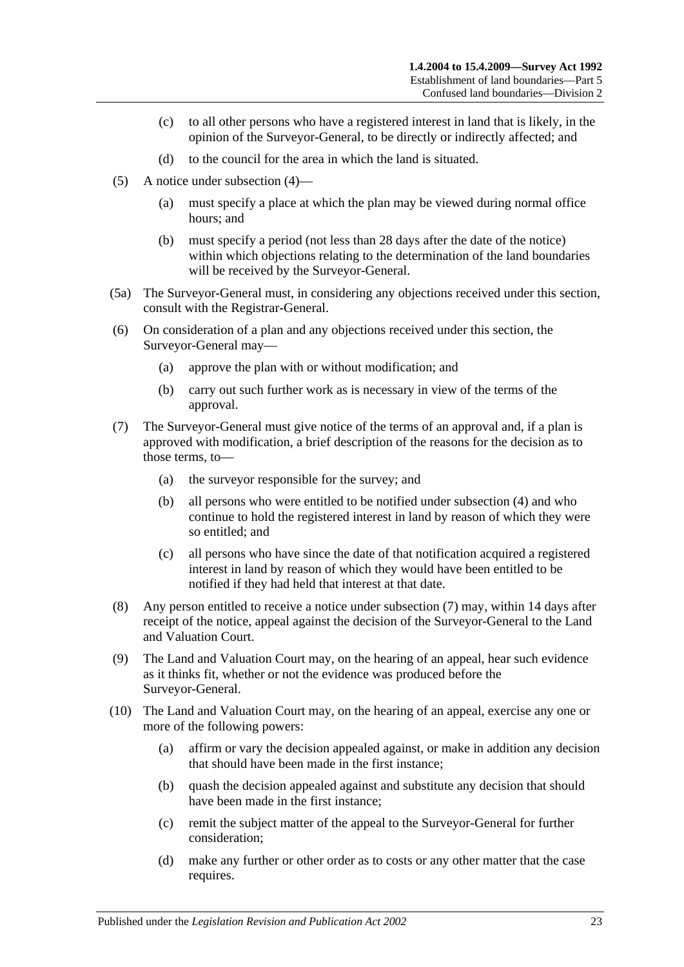- (c) to all other persons who have a registered interest in land that is likely, in the opinion of the Surveyor-General, to be directly or indirectly affected; and
- (d) to the council for the area in which the land is situated.
- (5) A notice under [subsection](#page-21-6) (4)—
	- (a) must specify a place at which the plan may be viewed during normal office hours; and
	- (b) must specify a period (not less than 28 days after the date of the notice) within which objections relating to the determination of the land boundaries will be received by the Surveyor-General.
- (5a) The Surveyor-General must, in considering any objections received under this section, consult with the Registrar-General.
- (6) On consideration of a plan and any objections received under this section, the Surveyor-General may—
	- (a) approve the plan with or without modification; and
	- (b) carry out such further work as is necessary in view of the terms of the approval.
- <span id="page-22-0"></span>(7) The Surveyor-General must give notice of the terms of an approval and, if a plan is approved with modification, a brief description of the reasons for the decision as to those terms, to—
	- (a) the surveyor responsible for the survey; and
	- (b) all persons who were entitled to be notified under [subsection](#page-21-6) (4) and who continue to hold the registered interest in land by reason of which they were so entitled; and
	- (c) all persons who have since the date of that notification acquired a registered interest in land by reason of which they would have been entitled to be notified if they had held that interest at that date.
- (8) Any person entitled to receive a notice under [subsection](#page-22-0) (7) may, within 14 days after receipt of the notice, appeal against the decision of the Surveyor-General to the Land and Valuation Court.
- (9) The Land and Valuation Court may, on the hearing of an appeal, hear such evidence as it thinks fit, whether or not the evidence was produced before the Surveyor-General.
- (10) The Land and Valuation Court may, on the hearing of an appeal, exercise any one or more of the following powers:
	- (a) affirm or vary the decision appealed against, or make in addition any decision that should have been made in the first instance;
	- (b) quash the decision appealed against and substitute any decision that should have been made in the first instance;
	- (c) remit the subject matter of the appeal to the Surveyor-General for further consideration;
	- (d) make any further or other order as to costs or any other matter that the case requires.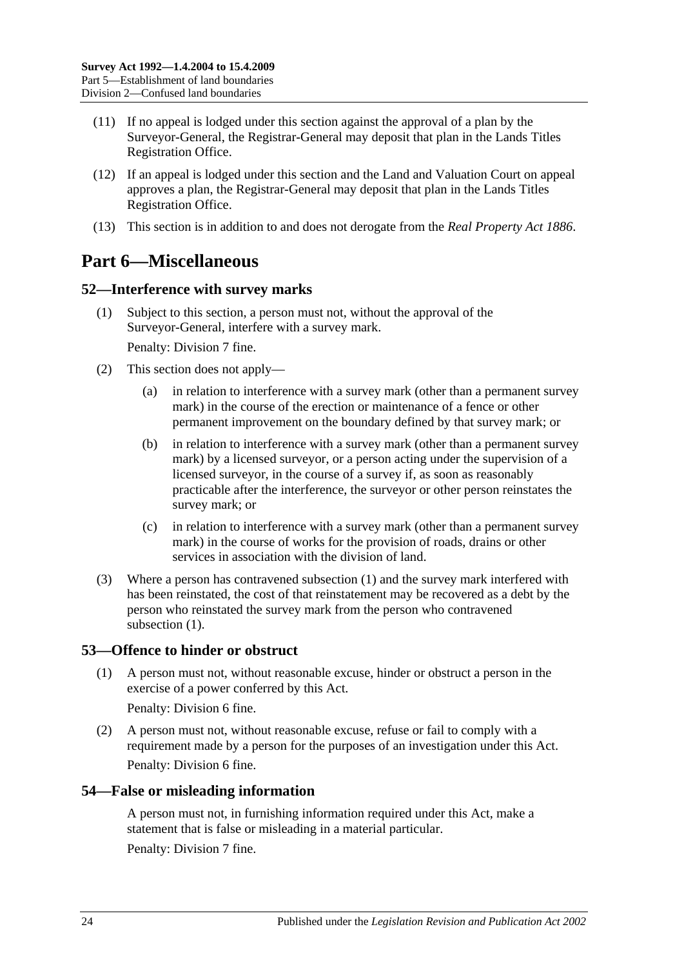- (11) If no appeal is lodged under this section against the approval of a plan by the Surveyor-General, the Registrar-General may deposit that plan in the Lands Titles Registration Office.
- (12) If an appeal is lodged under this section and the Land and Valuation Court on appeal approves a plan, the Registrar-General may deposit that plan in the Lands Titles Registration Office.
- (13) This section is in addition to and does not derogate from the *[Real Property Act](http://www.legislation.sa.gov.au/index.aspx?action=legref&type=act&legtitle=Real%20Property%20Act%201886) 1886*.

## <span id="page-23-0"></span>**Part 6—Miscellaneous**

### <span id="page-23-4"></span><span id="page-23-1"></span>**52—Interference with survey marks**

(1) Subject to this section, a person must not, without the approval of the Surveyor-General, interfere with a survey mark.

Penalty: Division 7 fine.

- (2) This section does not apply—
	- (a) in relation to interference with a survey mark (other than a permanent survey mark) in the course of the erection or maintenance of a fence or other permanent improvement on the boundary defined by that survey mark; or
	- (b) in relation to interference with a survey mark (other than a permanent survey mark) by a licensed surveyor, or a person acting under the supervision of a licensed surveyor, in the course of a survey if, as soon as reasonably practicable after the interference, the surveyor or other person reinstates the survey mark; or
	- (c) in relation to interference with a survey mark (other than a permanent survey mark) in the course of works for the provision of roads, drains or other services in association with the division of land.
- (3) Where a person has contravened [subsection](#page-23-4) (1) and the survey mark interfered with has been reinstated, the cost of that reinstatement may be recovered as a debt by the person who reinstated the survey mark from the person who contravened [subsection](#page-23-4)  $(1)$ .

## <span id="page-23-2"></span>**53—Offence to hinder or obstruct**

(1) A person must not, without reasonable excuse, hinder or obstruct a person in the exercise of a power conferred by this Act.

Penalty: Division 6 fine.

(2) A person must not, without reasonable excuse, refuse or fail to comply with a requirement made by a person for the purposes of an investigation under this Act. Penalty: Division 6 fine.

#### <span id="page-23-3"></span>**54—False or misleading information**

A person must not, in furnishing information required under this Act, make a statement that is false or misleading in a material particular.

Penalty: Division 7 fine.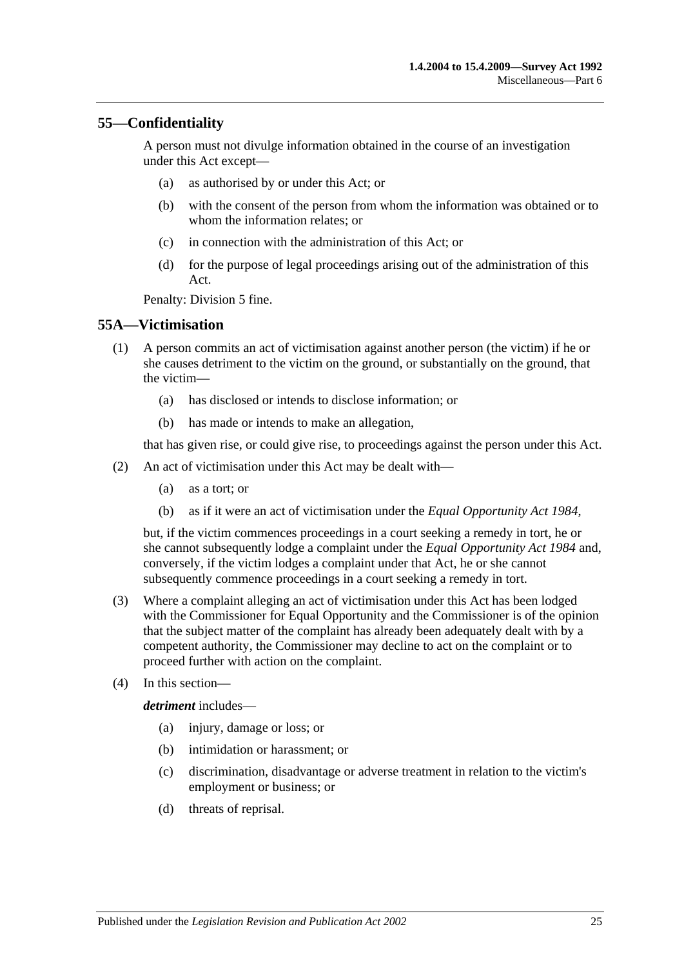### <span id="page-24-0"></span>**55—Confidentiality**

A person must not divulge information obtained in the course of an investigation under this Act except—

- (a) as authorised by or under this Act; or
- (b) with the consent of the person from whom the information was obtained or to whom the information relates; or
- (c) in connection with the administration of this Act; or
- (d) for the purpose of legal proceedings arising out of the administration of this Act.

Penalty: Division 5 fine.

#### <span id="page-24-1"></span>**55A—Victimisation**

- (1) A person commits an act of victimisation against another person (the victim) if he or she causes detriment to the victim on the ground, or substantially on the ground, that the victim—
	- (a) has disclosed or intends to disclose information; or
	- (b) has made or intends to make an allegation,

that has given rise, or could give rise, to proceedings against the person under this Act.

- (2) An act of victimisation under this Act may be dealt with—
	- (a) as a tort; or
	- (b) as if it were an act of victimisation under the *[Equal Opportunity Act](http://www.legislation.sa.gov.au/index.aspx?action=legref&type=act&legtitle=Equal%20Opportunity%20Act%201984) 1984*,

but, if the victim commences proceedings in a court seeking a remedy in tort, he or she cannot subsequently lodge a complaint under the *[Equal Opportunity Act](http://www.legislation.sa.gov.au/index.aspx?action=legref&type=act&legtitle=Equal%20Opportunity%20Act%201984) 1984* and, conversely, if the victim lodges a complaint under that Act, he or she cannot subsequently commence proceedings in a court seeking a remedy in tort.

- (3) Where a complaint alleging an act of victimisation under this Act has been lodged with the Commissioner for Equal Opportunity and the Commissioner is of the opinion that the subject matter of the complaint has already been adequately dealt with by a competent authority, the Commissioner may decline to act on the complaint or to proceed further with action on the complaint.
- (4) In this section—

*detriment* includes—

- (a) injury, damage or loss; or
- (b) intimidation or harassment; or
- (c) discrimination, disadvantage or adverse treatment in relation to the victim's employment or business; or
- (d) threats of reprisal.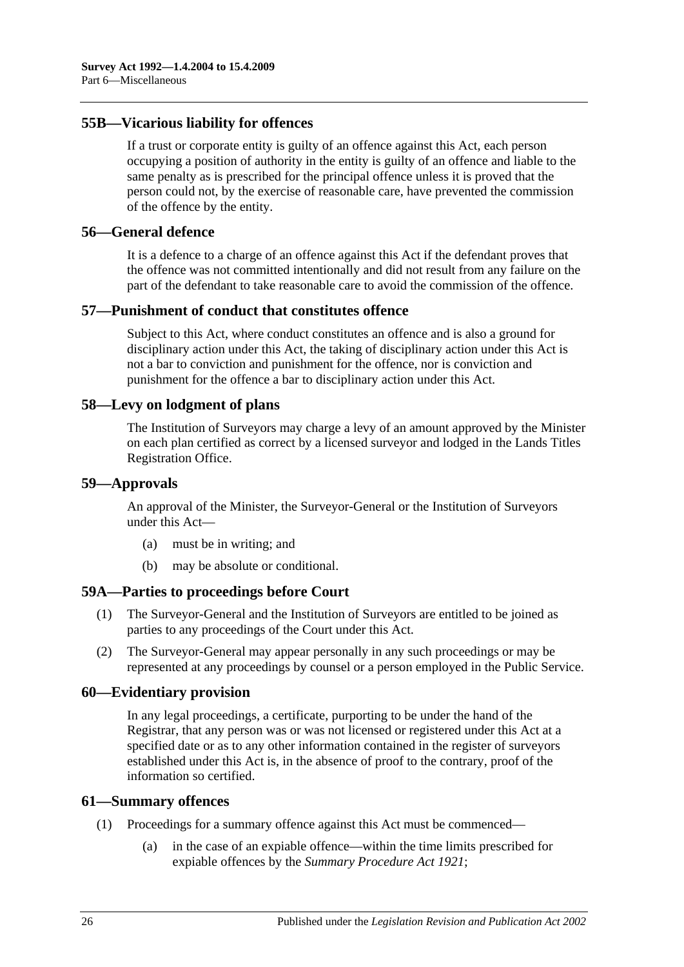#### <span id="page-25-0"></span>**55B—Vicarious liability for offences**

If a trust or corporate entity is guilty of an offence against this Act, each person occupying a position of authority in the entity is guilty of an offence and liable to the same penalty as is prescribed for the principal offence unless it is proved that the person could not, by the exercise of reasonable care, have prevented the commission of the offence by the entity.

#### <span id="page-25-1"></span>**56—General defence**

It is a defence to a charge of an offence against this Act if the defendant proves that the offence was not committed intentionally and did not result from any failure on the part of the defendant to take reasonable care to avoid the commission of the offence.

#### <span id="page-25-2"></span>**57—Punishment of conduct that constitutes offence**

Subject to this Act, where conduct constitutes an offence and is also a ground for disciplinary action under this Act, the taking of disciplinary action under this Act is not a bar to conviction and punishment for the offence, nor is conviction and punishment for the offence a bar to disciplinary action under this Act.

#### <span id="page-25-3"></span>**58—Levy on lodgment of plans**

The Institution of Surveyors may charge a levy of an amount approved by the Minister on each plan certified as correct by a licensed surveyor and lodged in the Lands Titles Registration Office.

#### <span id="page-25-4"></span>**59—Approvals**

An approval of the Minister, the Surveyor-General or the Institution of Surveyors under this Act—

- (a) must be in writing; and
- (b) may be absolute or conditional.

#### <span id="page-25-5"></span>**59A—Parties to proceedings before Court**

- (1) The Surveyor-General and the Institution of Surveyors are entitled to be joined as parties to any proceedings of the Court under this Act.
- (2) The Surveyor-General may appear personally in any such proceedings or may be represented at any proceedings by counsel or a person employed in the Public Service.

#### <span id="page-25-6"></span>**60—Evidentiary provision**

In any legal proceedings, a certificate, purporting to be under the hand of the Registrar, that any person was or was not licensed or registered under this Act at a specified date or as to any other information contained in the register of surveyors established under this Act is, in the absence of proof to the contrary, proof of the information so certified.

#### <span id="page-25-7"></span>**61—Summary offences**

- (1) Proceedings for a summary offence against this Act must be commenced—
	- (a) in the case of an expiable offence—within the time limits prescribed for expiable offences by the *[Summary Procedure Act](http://www.legislation.sa.gov.au/index.aspx?action=legref&type=act&legtitle=Summary%20Procedure%20Act%201921) 1921*;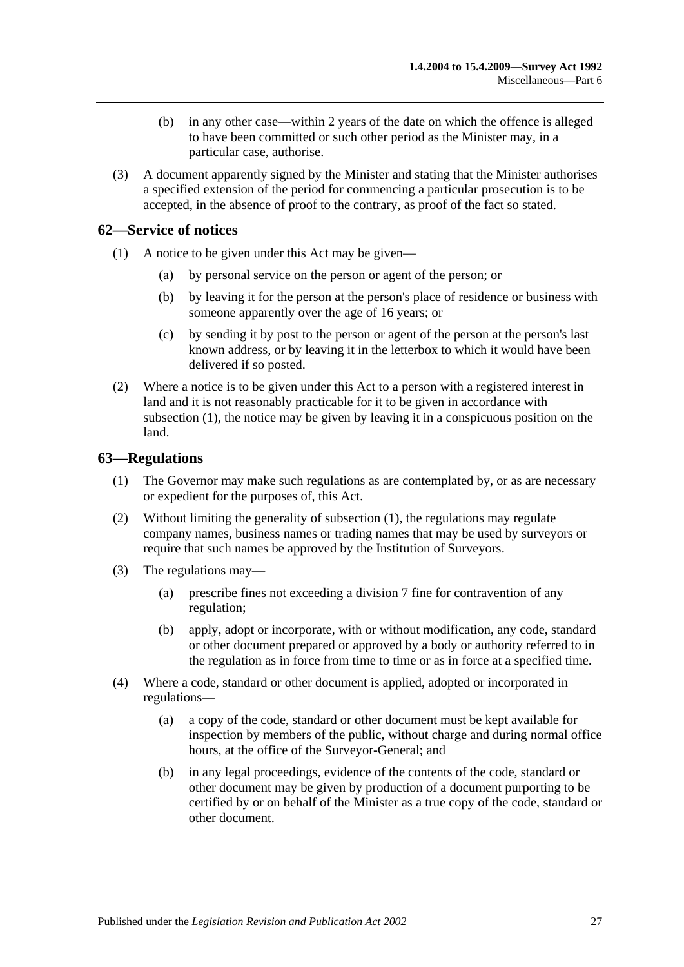- (b) in any other case—within 2 years of the date on which the offence is alleged to have been committed or such other period as the Minister may, in a particular case, authorise.
- (3) A document apparently signed by the Minister and stating that the Minister authorises a specified extension of the period for commencing a particular prosecution is to be accepted, in the absence of proof to the contrary, as proof of the fact so stated.

## <span id="page-26-2"></span><span id="page-26-0"></span>**62—Service of notices**

- (1) A notice to be given under this Act may be given—
	- (a) by personal service on the person or agent of the person; or
	- (b) by leaving it for the person at the person's place of residence or business with someone apparently over the age of 16 years; or
	- (c) by sending it by post to the person or agent of the person at the person's last known address, or by leaving it in the letterbox to which it would have been delivered if so posted.
- (2) Where a notice is to be given under this Act to a person with a registered interest in land and it is not reasonably practicable for it to be given in accordance with [subsection](#page-26-2) (1), the notice may be given by leaving it in a conspicuous position on the land.

#### <span id="page-26-3"></span><span id="page-26-1"></span>**63—Regulations**

- (1) The Governor may make such regulations as are contemplated by, or as are necessary or expedient for the purposes of, this Act.
- (2) Without limiting the generality of [subsection](#page-26-3) (1), the regulations may regulate company names, business names or trading names that may be used by surveyors or require that such names be approved by the Institution of Surveyors.
- (3) The regulations may—
	- (a) prescribe fines not exceeding a division 7 fine for contravention of any regulation;
	- (b) apply, adopt or incorporate, with or without modification, any code, standard or other document prepared or approved by a body or authority referred to in the regulation as in force from time to time or as in force at a specified time.
- (4) Where a code, standard or other document is applied, adopted or incorporated in regulations—
	- (a) a copy of the code, standard or other document must be kept available for inspection by members of the public, without charge and during normal office hours, at the office of the Surveyor-General; and
	- (b) in any legal proceedings, evidence of the contents of the code, standard or other document may be given by production of a document purporting to be certified by or on behalf of the Minister as a true copy of the code, standard or other document.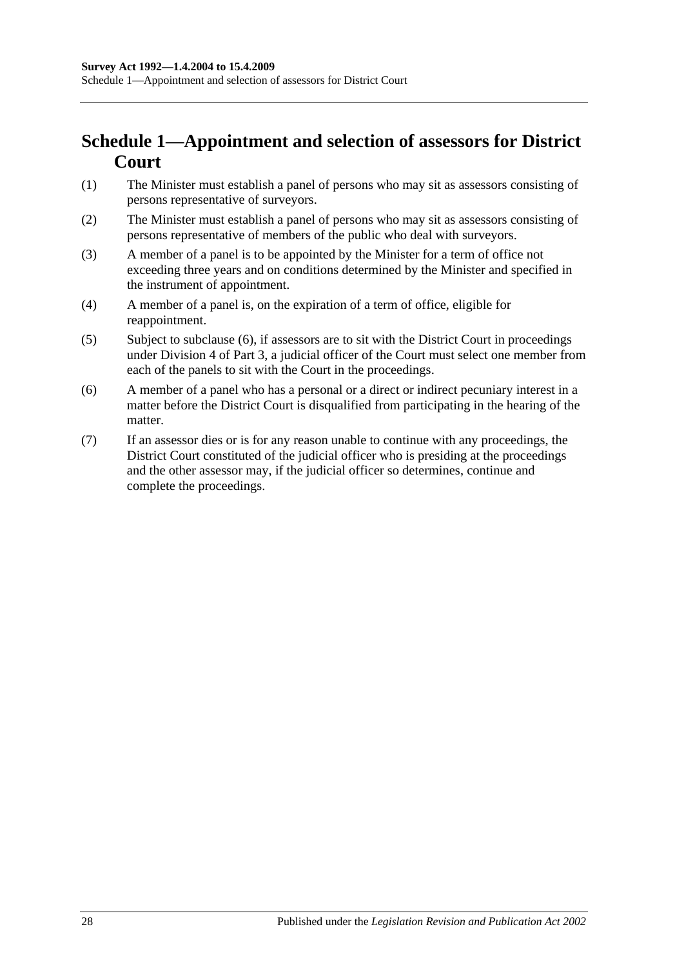## <span id="page-27-0"></span>**Schedule 1—Appointment and selection of assessors for District Court**

- (1) The Minister must establish a panel of persons who may sit as assessors consisting of persons representative of surveyors.
- (2) The Minister must establish a panel of persons who may sit as assessors consisting of persons representative of members of the public who deal with surveyors.
- (3) A member of a panel is to be appointed by the Minister for a term of office not exceeding three years and on conditions determined by the Minister and specified in the instrument of appointment.
- (4) A member of a panel is, on the expiration of a term of office, eligible for reappointment.
- (5) Subject to [subclause](#page-27-1) (6), if assessors are to sit with the District Court in proceedings under [Division 4](#page-12-2) of [Part 3,](#page-8-0) a judicial officer of the Court must select one member from each of the panels to sit with the Court in the proceedings.
- <span id="page-27-1"></span>(6) A member of a panel who has a personal or a direct or indirect pecuniary interest in a matter before the District Court is disqualified from participating in the hearing of the matter.
- (7) If an assessor dies or is for any reason unable to continue with any proceedings, the District Court constituted of the judicial officer who is presiding at the proceedings and the other assessor may, if the judicial officer so determines, continue and complete the proceedings.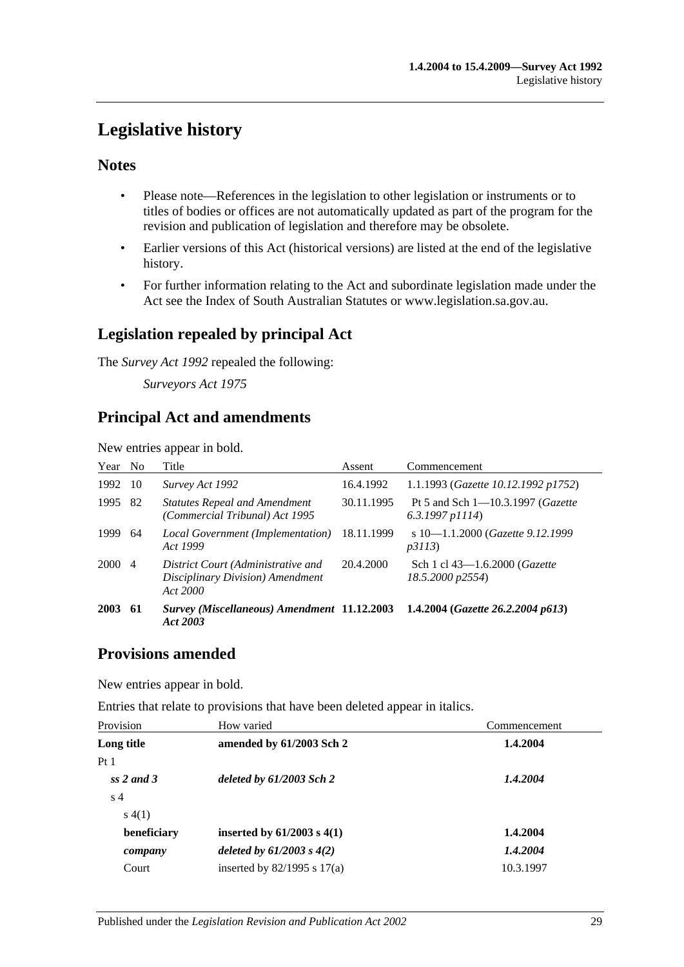## <span id="page-28-0"></span>**Legislative history**

## **Notes**

- Please note—References in the legislation to other legislation or instruments or to titles of bodies or offices are not automatically updated as part of the program for the revision and publication of legislation and therefore may be obsolete.
- Earlier versions of this Act (historical versions) are listed at the end of the legislative history.
- For further information relating to the Act and subordinate legislation made under the Act see the Index of South Australian Statutes or www.legislation.sa.gov.au.

## **Legislation repealed by principal Act**

The *Survey Act 1992* repealed the following:

*Surveyors Act 1975*

## **Principal Act and amendments**

New entries appear in bold.

| Year No |                | Title                                                                              | Assent     | Commencement                                               |
|---------|----------------|------------------------------------------------------------------------------------|------------|------------------------------------------------------------|
| 1992    | -10            | Survey Act 1992                                                                    | 16.4.1992  | 1.1.1993 (Gazette 10.12.1992 p1752)                        |
| 1995    | 82             | <b>Statutes Repeal and Amendment</b><br>(Commercial Tribunal) Act 1995             | 30.11.1995 | Pt 5 and Sch 1-10.3.1997 (Gazette<br>$6.3.1997$ p $1114$ ) |
| 1999    | 64             | Local Government (Implementation)<br>Act 1999                                      | 18.11.1999 | s 10-1.1.2000 (Gazette 9.12.1999)<br>p3113                 |
| 2000    | $\overline{4}$ | District Court (Administrative and<br>Disciplinary Division) Amendment<br>Act 2000 | 20.4.2000  | Sch 1 cl 43-1.6.2000 (Gazette<br>18.5.2000 p2554)          |
| 2003    | 61             | <b>Survey (Miscellaneous) Amendment 11.12.2003</b><br>Act 2003                     |            | 1.4.2004 (Gazette 26.2.2004 p613)                          |

## **Provisions amended**

New entries appear in bold.

Entries that relate to provisions that have been deleted appear in italics.

| How varied                      | Commencement |  |
|---------------------------------|--------------|--|
| amended by 61/2003 Sch 2        | 1.4.2004     |  |
|                                 |              |  |
| deleted by $61/2003$ Sch 2      | 1.4.2004     |  |
|                                 |              |  |
|                                 |              |  |
| inserted by $61/2003$ s $4(1)$  | 1.4.2004     |  |
| deleted by $61/2003$ s $4(2)$   | 1.4.2004     |  |
| inserted by $82/1995$ s $17(a)$ | 10.3.1997    |  |
|                                 |              |  |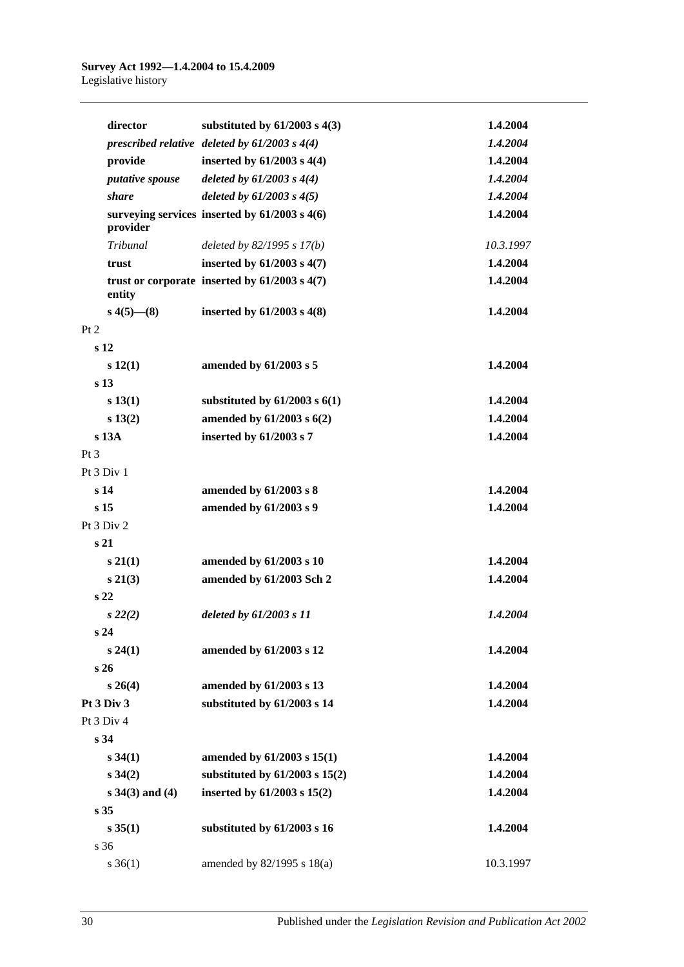| director               | substituted by $61/2003$ s $4(3)$                 | 1.4.2004  |
|------------------------|---------------------------------------------------|-----------|
|                        | prescribed relative deleted by $61/2003$ s $4(4)$ | 1.4.2004  |
| provide                | inserted by $61/2003$ s $4(4)$                    | 1.4.2004  |
| <i>putative spouse</i> | deleted by $61/2003 s 4(4)$                       | 1.4.2004  |
| <i>share</i>           | deleted by $61/2003$ s $4(5)$                     | 1.4.2004  |
| provider               | surveying services inserted by 61/2003 s 4(6)     | 1.4.2004  |
| Tribunal               | deleted by $82/1995 s 17(b)$                      | 10.3.1997 |
| trust                  | inserted by $61/2003$ s $4(7)$                    | 1.4.2004  |
| entity                 | trust or corporate inserted by $61/2003$ s $4(7)$ | 1.4.2004  |
| $s\,4(5)$ — $(8)$      | inserted by $61/2003$ s $4(8)$                    | 1.4.2004  |
| Pt 2                   |                                                   |           |
| s <sub>12</sub>        |                                                   |           |
| s 12(1)                | amended by 61/2003 s 5                            | 1.4.2004  |
| s <sub>13</sub>        |                                                   |           |
| s 13(1)                | substituted by $61/2003$ s $6(1)$                 | 1.4.2004  |
| s 13(2)                | amended by 61/2003 s 6(2)                         | 1.4.2004  |
| s 13A                  | inserted by 61/2003 s 7                           | 1.4.2004  |
| Pt <sub>3</sub>        |                                                   |           |
| Pt 3 Div 1             |                                                   |           |
| s <sub>14</sub>        | amended by 61/2003 s 8                            | 1.4.2004  |
| s <sub>15</sub>        | amended by 61/2003 s 9                            | 1.4.2004  |
| Pt 3 Div 2             |                                                   |           |
| s <sub>21</sub>        |                                                   |           |
| $s\,21(1)$             | amended by 61/2003 s 10                           | 1.4.2004  |
| $s\,21(3)$             | amended by 61/2003 Sch 2                          | 1.4.2004  |
| s <sub>22</sub>        |                                                   |           |
| $s\,22(2)$             | deleted by 61/2003 s 11                           | 1.4.2004  |
| s 24                   |                                                   |           |
| s 24(1)                | amended by 61/2003 s 12                           | 1.4.2004  |
| s 26                   |                                                   |           |
| $s \; 26(4)$           | amended by 61/2003 s 13                           | 1.4.2004  |
| Pt 3 Div 3             | substituted by 61/2003 s 14                       | 1.4.2004  |
| Pt 3 Div 4             |                                                   |           |
| s <sub>34</sub>        |                                                   |           |
| $s\,34(1)$             | amended by 61/2003 s 15(1)                        | 1.4.2004  |
| $s \, 34(2)$           | substituted by $61/2003$ s $15(2)$                | 1.4.2004  |
| $s \, 34(3)$ and (4)   | inserted by 61/2003 s 15(2)                       | 1.4.2004  |
| s 35                   |                                                   |           |
| s 35(1)                | substituted by 61/2003 s 16                       | 1.4.2004  |
| s 36                   |                                                   |           |
| $s \, 36(1)$           | amended by 82/1995 s 18(a)                        | 10.3.1997 |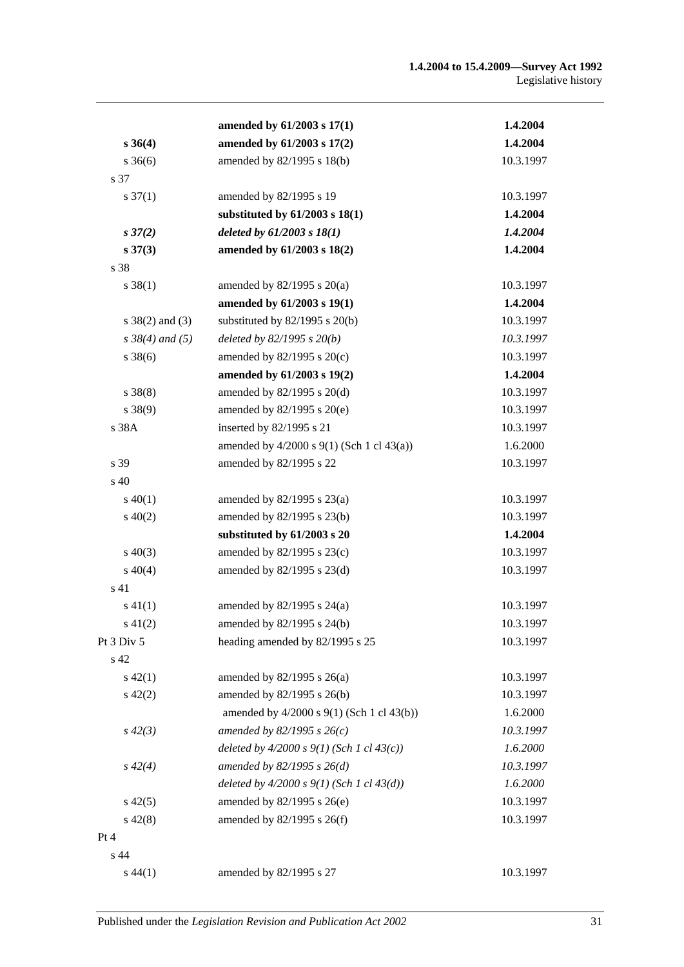|                      | amended by 61/2003 s 17(1)                       | 1.4.2004  |
|----------------------|--------------------------------------------------|-----------|
| $s \, 36(4)$         | amended by 61/2003 s 17(2)                       | 1.4.2004  |
| $s \, 36(6)$         | amended by 82/1995 s 18(b)                       | 10.3.1997 |
| s 37                 |                                                  |           |
| $s \frac{37(1)}{2}$  | amended by 82/1995 s 19                          | 10.3.1997 |
|                      | substituted by $61/2003$ s $18(1)$               | 1.4.2004  |
| $s\,37(2)$           | deleted by $61/2003 s 18(1)$                     | 1.4.2004  |
| $s\,37(3)$           | amended by 61/2003 s 18(2)                       | 1.4.2004  |
| s 38                 |                                                  |           |
| $s \, 38(1)$         | amended by $82/1995$ s $20(a)$                   | 10.3.1997 |
|                      | amended by 61/2003 s 19(1)                       | 1.4.2004  |
| $s \ 38(2)$ and (3)  | substituted by $82/1995$ s $20(b)$               | 10.3.1997 |
| $s \, 38(4)$ and (5) | deleted by $82/1995 s 20(b)$                     | 10.3.1997 |
| $s \, 38(6)$         | amended by $82/1995$ s $20(c)$                   | 10.3.1997 |
|                      | amended by 61/2003 s 19(2)                       | 1.4.2004  |
| $s \ 38(8)$          | amended by 82/1995 s 20(d)                       | 10.3.1997 |
| $s \ 38(9)$          | amended by $82/1995$ s $20(e)$                   | 10.3.1997 |
| s 38A                | inserted by 82/1995 s 21                         | 10.3.1997 |
|                      | amended by $4/2000$ s $9(1)$ (Sch 1 cl $43(a)$ ) | 1.6.2000  |
| s 39                 | amended by 82/1995 s 22                          | 10.3.1997 |
| $\sin 40$            |                                                  |           |
| $s\ 40(1)$           | amended by $82/1995$ s $23(a)$                   | 10.3.1997 |
| $s\ 40(2)$           | amended by 82/1995 s 23(b)                       | 10.3.1997 |
|                      | substituted by 61/2003 s 20                      | 1.4.2004  |
| $s\ 40(3)$           | amended by 82/1995 s 23(c)                       | 10.3.1997 |
| $s\ 40(4)$           | amended by $82/1995$ s $23(d)$                   | 10.3.1997 |
| s 41                 |                                                  |           |
| $s\ 41(1)$           | amended by $82/1995$ s $24(a)$                   | 10.3.1997 |
| $s\ 41(2)$           | amended by 82/1995 s 24(b)                       | 10.3.1997 |
| Pt 3 Div 5           | heading amended by 82/1995 s 25                  | 10.3.1997 |
| s 42                 |                                                  |           |
| $s\ 42(1)$           | amended by 82/1995 s 26(a)                       | 10.3.1997 |
| $s\ 42(2)$           | amended by 82/1995 s 26(b)                       | 10.3.1997 |
|                      | amended by 4/2000 s 9(1) (Sch 1 cl 43(b))        | 1.6.2000  |
| $s\,42(3)$           | amended by 82/1995 s $26(c)$                     | 10.3.1997 |
|                      | deleted by $4/2000 s 9(1)$ (Sch 1 cl $43(c)$ )   | 1.6.2000  |
| $s\,42(4)$           | amended by $82/1995 s 26(d)$                     | 10.3.1997 |
|                      | deleted by $4/2000 s 9(1)$ (Sch 1 cl $43(d)$ )   | 1.6.2000  |
| $s\,42(5)$           | amended by $82/1995$ s $26(e)$                   | 10.3.1997 |
| $s\ 42(8)$           | amended by 82/1995 s 26(f)                       | 10.3.1997 |
| Pt 4                 |                                                  |           |
| s 44                 |                                                  |           |
| $s\,44(1)$           | amended by 82/1995 s 27                          | 10.3.1997 |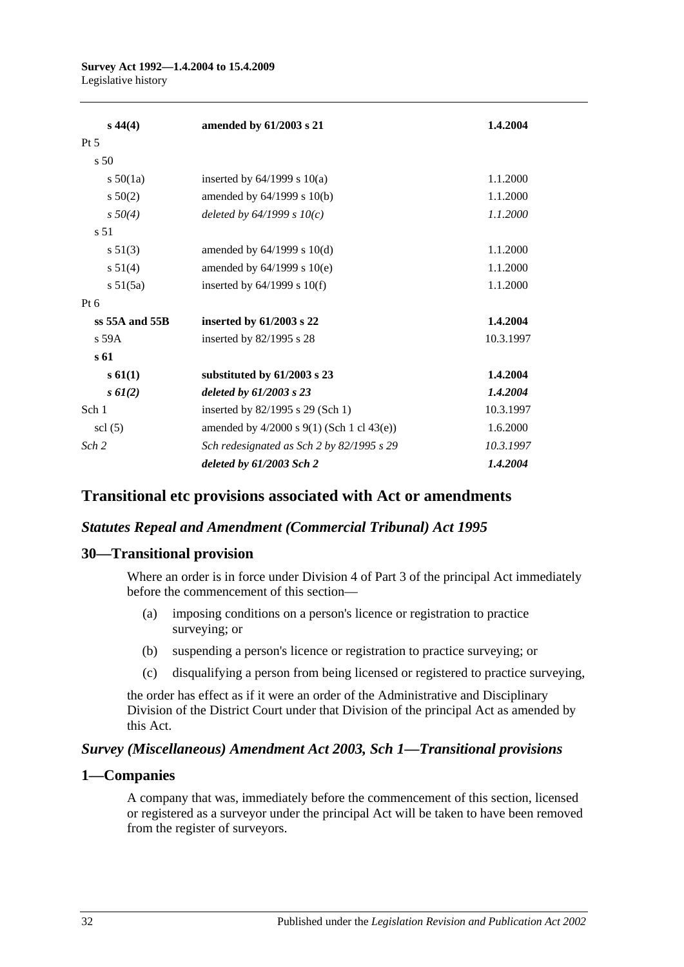#### **Survey Act 1992—1.4.2004 to 15.4.2009** Legislative history

| $s\,44(4)$                  | amended by 61/2003 s 21                          | 1.4.2004  |
|-----------------------------|--------------------------------------------------|-----------|
| $Pt\,5$                     |                                                  |           |
| s <sub>50</sub>             |                                                  |           |
| $s\ 50(1a)$                 | inserted by $64/1999$ s $10(a)$                  | 1.1.2000  |
| $s\ 50(2)$                  | amended by $64/1999$ s $10(b)$                   | 1.1.2000  |
| $s\,50(4)$                  | deleted by $64/1999 s 10(c)$                     | 1.1.2000  |
| s <sub>51</sub>             |                                                  |           |
| s 51(3)                     | amended by $64/1999$ s $10(d)$                   | 1.1.2000  |
| $s\,51(4)$                  | amended by $64/1999$ s $10(e)$                   | 1.1.2000  |
| s 51(5a)                    | inserted by $64/1999$ s $10(f)$                  | 1.1.2000  |
| $Pt\ 6$                     |                                                  |           |
| $ss$ 55A and 55B            | inserted by 61/2003 s 22                         | 1.4.2004  |
| $s$ 59 $A$                  | inserted by 82/1995 s 28                         | 10.3.1997 |
| s 61                        |                                                  |           |
| $s \, 61(1)$                | substituted by 61/2003 s 23                      | 1.4.2004  |
| $s \, 61(2)$                | deleted by 61/2003 s 23                          | 1.4.2004  |
| Sch 1                       | inserted by 82/1995 s 29 (Sch 1)                 | 10.3.1997 |
| $\text{ }$ scl $\text{(5)}$ | amended by $4/2000$ s $9(1)$ (Sch 1 cl $43(e)$ ) | 1.6.2000  |
| Sch <sub>2</sub>            | Sch redesignated as Sch 2 by 82/1995 s 29        | 10.3.1997 |
|                             | deleted by $61/2003$ Sch 2                       | 1.4.2004  |

## **Transitional etc provisions associated with Act or amendments**

#### *Statutes Repeal and Amendment (Commercial Tribunal) Act 1995*

#### **30—Transitional provision**

Where an order is in force under Division 4 of Part 3 of the principal Act immediately before the commencement of this section—

- (a) imposing conditions on a person's licence or registration to practice surveying; or
- (b) suspending a person's licence or registration to practice surveying; or
- (c) disqualifying a person from being licensed or registered to practice surveying,

the order has effect as if it were an order of the Administrative and Disciplinary Division of the District Court under that Division of the principal Act as amended by this Act.

#### *Survey (Miscellaneous) Amendment Act 2003, Sch 1—Transitional provisions*

#### **1—Companies**

A company that was, immediately before the commencement of this section, licensed or registered as a surveyor under the principal Act will be taken to have been removed from the register of surveyors.